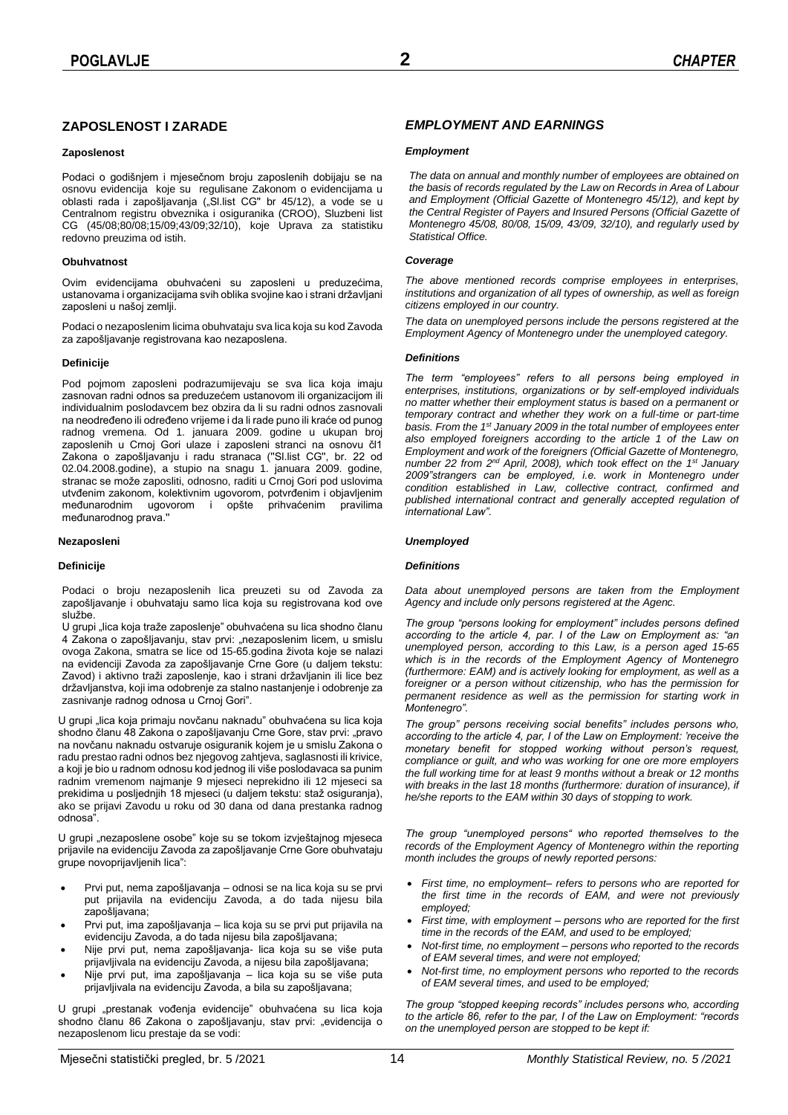## **ZAPOSLENOST I ZARADE**

## **Zaposlenost**

Podaci o godišnjem i mjesečnom broju zaposlenih dobijaju se na osnovu evidencija koje su regulisane Zakonom o evidencijama u oblasti rada i zapošljavanja ("Sl.list CG" br 45/12), a vode se u Centralnom registru obveznika i osiguranika (CROO), Sluzbeni list CG (45/08;80/08;15/09;43/09;32/10), koje Uprava za statistiku redovno preuzima od istih.

## **Obuhvatnost**

Ovim evidencijama obuhvaćeni su zaposleni u preduzećima, ustanovama i organizacijama svih oblika svojine kao i strani državljani zaposleni u našoj zemlji.

Podaci o nezaposlenim licima obuhvataju sva lica koja su kod Zavoda za zapošljavanje registrovana kao nezaposlena.

## **Definicije**

Pod pojmom zaposleni podrazumijevaju se sva lica koja imaju zasnovan radni odnos sa preduzećem ustanovom ili organizacijom ili individualnim poslodavcem bez obzira da li su radni odnos zasnovali na neodređeno ili određeno vrijeme i da li rade puno ili kraće od punog radnog vremena. Od 1. januara 2009. godine u ukupan broj zaposlenih u Crnoj Gori ulaze i zaposleni stranci na osnovu čl1 Zakona o zapošljavanju i radu stranaca (''Sl.list CG'', br. 22 od 02.04.2008.godine), a stupio na snagu 1. januara 2009. godine, stranac se može zaposliti, odnosno, raditi u Crnoj Gori pod uslovima utvđenim zakonom, kolektivnim ugovorom, potvrđenim i objavljenim međunarodnim ugovorom i opšte prihvaćenim pravilima međunarodnog prava.''

### **Nezaposleni**

#### **Definicije**

Podaci o broju nezaposlenih lica preuzeti su od Zavoda za zapošljavanje i obuhvataju samo lica koja su registrovana kod ove službe.

U grupi "lica koja traže zaposlenje" obuhvaćena su lica shodno članu 4 Zakona o zapošljavanju, stav prvi: "nezaposlenim licem, u smislu ovoga Zakona, smatra se lice od 15-65.godina života koje se nalazi na evidenciji Zavoda za zapošljavanje Crne Gore (u daljem tekstu: Zavod) i aktivno traži zaposlenje, kao i strani državljanin ili lice bez državljanstva, koji ima odobrenje za stalno nastanjenje i odobrenje za zasnivanje radnog odnosa u Crnoj Gori".

U grupi "lica koja primaju novčanu naknadu" obuhvaćena su lica koja shodno članu 48 Zakona o zapošljavanju Crne Gore, stav prvi: "pravo na novčanu naknadu ostvaruje osiguranik kojem je u smislu Zakona o radu prestao radni odnos bez njegovog zahtjeva, saglasnosti ili krivice, a koji je bio u radnom odnosu kod jednog ili više poslodavaca sa punim radnim vremenom najmanje 9 mjeseci neprekidno ili 12 mjeseci sa prekidima u posljednjih 18 mjeseci (u daljem tekstu: staž osiguranja), ako se prijavi Zavodu u roku od 30 dana od dana prestanka radnog odnosa".

U grupi "nezaposlene osobe" koje su se tokom izvještajnog mjeseca prijavile na evidenciju Zavoda za zapošljavanje Crne Gore obuhvataju grupe novoprijavljenih lica":

- Prvi put, nema zapošljavanja odnosi se na lica koja su se prvi put prijavila na evidenciju Zavoda, a do tada nijesu bila zapošljavana;
- Prvi put, ima zapošljavanja lica koja su se prvi put prijavila na evidenciju Zavoda, a do tada nijesu bila zapošljavana;
- Nije prvi put, nema zapošljavanja- lica koja su se više puta prijavljivala na evidenciju Zavoda, a nijesu bila zapošljavana;
- Nije prvi put, ima zapošljavanja lica koja su se više puta prijavljivala na evidenciju Zavoda, a bila su zapošljavana;

U grupi "prestanak vođenja evidencije" obuhvaćena su lica koja shodno članu 86 Zakona o zapošljavanju, stav prvi: "evidencija o nezaposlenom licu prestaje da se vodi:

## *EMPLOYMENT AND EARNINGS*

### *Employment*

*The data on annual and monthly number of employees are obtained on the basis of records regulated by the Law on Records in Area of Labour and Employment (Official Gazette of Montenegro 45/12), and kept by the Central Register of Payers and Insured Persons (Official Gazette of Montenegro 45/08, 80/08, 15/09, 43/09, 32/10), and regularly used by Statistical Office.*

### *Coverage*

*The above mentioned records comprise employees in enterprises, institutions and organization of all types of ownership, as well as foreign citizens employed in our country.*

*The data on unemployed persons include the persons registered at the Employment Agency of Montenegro under the unemployed category.*

### *Definitions*

*The term "employees" refers to all persons being employed in enterprises, institutions, organizations or by self-employed individuals no matter whether their employment status is based on a permanent or temporary contract and whether they work on a full-time or part-time basis. From the 1st January 2009 in the total number of employees enter also employed foreigners according to the article 1 of the Law on Employment and work of the foreigners (Official Gazette of Montenegro, number 22 from 2nd April, 2008), which took effect on the 1st January 2009"strangers can be employed, i.e. work in Montenegro under condition established in Law, collective contract, confirmed and published international contract and generally accepted regulation of international Law".*

## *Unemployed*

#### *Definitions*

*Data about unemployed persons are taken from the Employment Agency and include only persons registered at the Agenc.*

*The group "persons looking for employment" includes persons defined according to the article 4, par. I of the Law on Employment as: "an unemployed person, according to this Law, is a person aged 15-65 which is in the records of the Employment Agency of Montenegro (furthermore: EAM) and is actively looking for employment, as well as a foreigner or a person without citizenship, who has the permission for permanent residence as well as the permission for starting work in Montenegro".*

*The group" persons receiving social benefits" includes persons who, according to the article 4, par, I of the Law on Employment: 'receive the monetary benefit for stopped working without person's request, compliance or guilt, and who was working for one ore more employers the full working time for at least 9 months without a break or 12 months with breaks in the last 18 months (furthermore: duration of insurance), if he/she reports to the EAM within 30 days of stopping to work.*

*The group "unemployed persons" who reported themselves to the records of the Employment Agency of Montenegro within the reporting month includes the groups of newly reported persons:* 

- *First time, no employment– refers to persons who are reported for the first time in the records of EAM, and were not previously employed;*
- *First time, with employment – persons who are reported for the first time in the records of the EAM, and used to be employed;*
- *Not-first time, no employment – persons who reported to the records of EAM several times, and were not employed;*
- *Not-first time, no employment persons who reported to the records of EAM several times, and used to be employed;*

*The group "stopped keeping records" includes persons who, according to the article 86, refer to the par, I of the Law on Employment: "records on the unemployed person are stopped to be kept if:*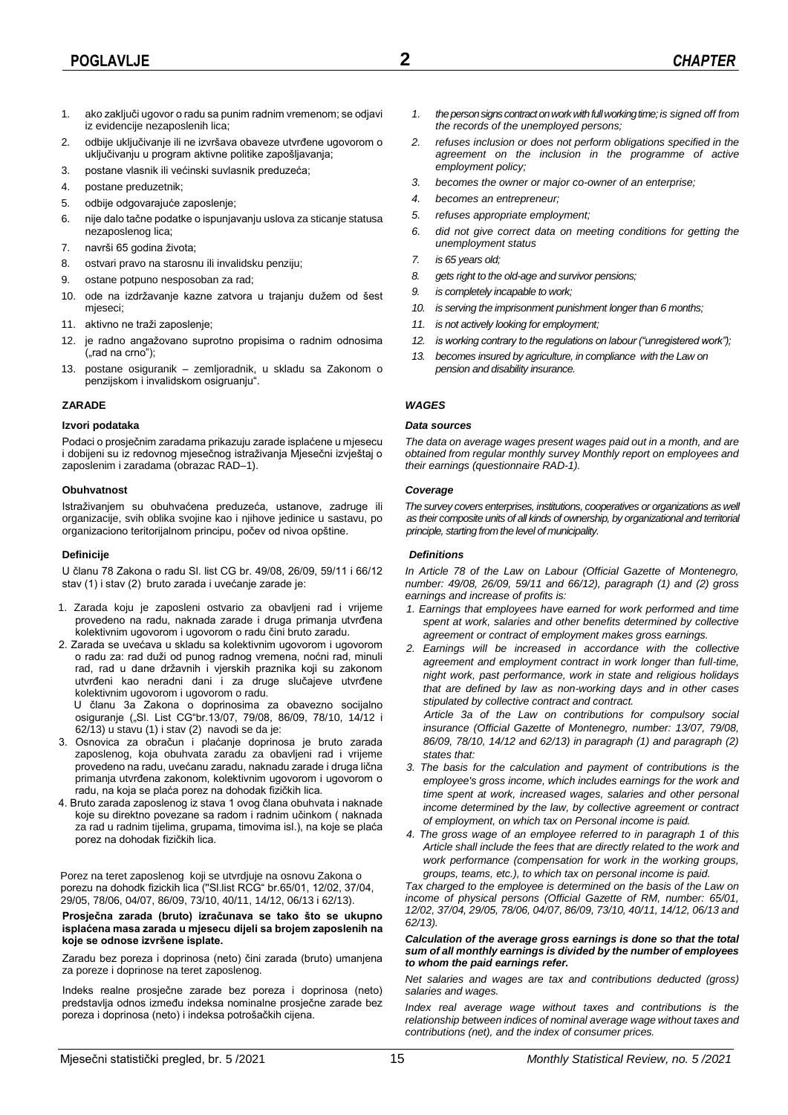- 1. ako zaključi ugovor o radu sa punim radnim vremenom; se odjavi iz evidencije nezaposlenih lica;
- 2. odbije uključivanje ili ne izvršava obaveze utvrđene ugovorom o uključivanju u program aktivne politike zapošljavanja;
- 3. postane vlasnik ili većinski suvlasnik preduzeća;
- 4. postane preduzetnik;
- 5. odbije odgovarajuće zaposlenje;
- 6. nije dalo tačne podatke o ispunjavanju uslova za sticanje statusa nezaposlenog lica;
- 7. navrši 65 godina života;
- 8. ostvari pravo na starosnu ili invalidsku penziju;
- 9. ostane potpuno nesposoban za rad;
- 10. ode na izdržavanje kazne zatvora u trajanju dužem od šest mjeseci;
- 11. aktivno ne traži zaposlenje;
- 12. je radno angažovano suprotno propisima o radnim odnosima ("rad na crno");
- 13. postane osiguranik zemljoradnik, u skladu sa Zakonom o penzijskom i invalidskom osigruanju".

## **ZARADE**

### **Izvori podataka**

Podaci o prosječnim zaradama prikazuju zarade isplaćene u mjesecu i dobijeni su iz redovnog mjesečnog istraživanja Mjesečni izvještaj o zaposlenim i zaradama (obrazac RAD–1).

## **Obuhvatnost**

Istraživanjem su obuhvaćena preduzeća, ustanove, zadruge ili organizacije, svih oblika svojine kao i njihove jedinice u sastavu, po organizaciono teritorijalnom principu, počev od nivoa opštine.

## **Definicije**

U članu 78 Zakona o radu Sl. list CG br. 49/08, 26/09, 59/11 i 66/12 stav (1) i stav (2) bruto zarada i uvećanje zarade je:

- 1. Zarada koju je zaposleni ostvario za obavljeni rad i vrijeme provedeno na radu, naknada zarade i druga primanja utvrđena kolektivnim ugovorom i ugovorom o radu čini bruto zaradu.
- 2. Zarada se uvećava u skladu sa kolektivnim ugovorom i ugovorom o radu za: rad duži od punog radnog vremena, noćni rad, minuli rad, rad u dane državnih i vjerskih praznika koji su zakonom utvrđeni kao neradni dani i za druge slučajeve utvrđene kolektivnim ugovorom i ugovorom o radu.

U članu 3a Zakona o doprinosima za obavezno socijalno osiguranje ("Sl. List CG"br.13/07, 79/08, 86/09, 78/10, 14/12 i 62/13) u stavu (1) i stav (2) navodi se da je:

- 3. Osnovica za obračun i plaćanje doprinosa je bruto zarada zaposlenog, koja obuhvata zaradu za obavljeni rad i vrijeme provedeno na radu, uvećanu zaradu, naknadu zarade i druga lična primanja utvrđena zakonom, kolektivnim ugovorom i ugovorom o radu, na koja se plaća porez na dohodak fizičkih lica.
- 4. Bruto zarada zaposlenog iz stava 1 ovog člana obuhvata i naknade koje su direktno povezane sa radom i radnim učinkom ( naknada za rad u radnim tijelima, grupama, timovima isl.), na koje se plaća porez na dohodak fizičkih lica.

Porez na teret zaposlenog koji se utvrdjuje na osnovu Zakona o porezu na dohodk fizickih lica (''Sl.list RCG" br.65/01, 12/02, 37/04, 29/05, 78/06, 04/07, 86/09, 73/10, 40/11, 14/12, 06/13 i 62/13).

**Prosječna zarada (bruto) izračunava se tako što se ukupno isplaćena masa zarada u mjesecu dijeli sa brojem zaposlenih na koje se odnose izvršene isplate.**

Zaradu bez poreza i doprinosa (neto) čini zarada (bruto) umanjena za poreze i doprinose na teret zaposlenog.

Indeks realne prosječne zarade bez poreza i doprinosa (neto) predstavlja odnos između indeksa nominalne prosječne zarade bez poreza i doprinosa (neto) i indeksa potrošačkih cijena.

- *1. the person signs contract on work with full working time; is signed off from the records of the unemployed persons;*
- *2. refuses inclusion or does not perform obligations specified in the agreement on the inclusion in the programme of active employment policy;*
- *3. becomes the owner or major co-owner of an enterprise;*
- *4. becomes an entrepreneur;*
- *5. refuses appropriate employment;*
- *6. did not give correct data on meeting conditions for getting the unemployment status*
- *7. is 65 years old;*
- *8. gets right to the old-age and survivor pensions;*
- *9. is completely incapable to work;*
- *10. is serving the imprisonment punishment longer than 6 months;*
- *11. is not actively looking for employment;*
- *12. is working contrary to the regulations on labour ("unregistered work");*
- *13. becomes insured by agriculture, in compliance with the Law on pension and disability insurance.*

## *WAGES*

### *Data sources*

*The data on average wages present wages paid out in a month, and are obtained from regular monthly survey Monthly report on employees and their earnings (questionnaire RAD-1).*

### *Coverage*

*The survey covers enterprises, institutions, cooperatives or organizations as well as their composite units of all kinds of ownership, by organizational and territorial principle, starting from the level of municipality.*

### *Definitions*

*In Article 78 of the Law on Labour (Official Gazette of Montenegro, number: 49/08, 26/09, 59/11 and 66/12), paragraph (1) and (2) gross earnings and increase of profits is:*

- *1. Earnings that employees have earned for work performed and time spent at work, salaries and other benefits determined by collective agreement or contract of employment makes gross earnings.*
- *2. Earnings will be increased in accordance with the collective agreement and employment contract in work longer than full-time, night work, past performance, work in state and religious holidays that are defined by law as non-working days and in other cases stipulated by collective contract and contract.*

*Article 3a of the Law on contributions for compulsory social insurance (Official Gazette of Montenegro, number: 13/07, 79/08, 86/09, 78/10, 14/12 and 62/13) in paragraph (1) and paragraph (2) states that:*

- *3. The basis for the calculation and payment of contributions is the employee's gross income, which includes earnings for the work and time spent at work, increased wages, salaries and other personal income determined by the law, by collective agreement or contract of employment, on which tax on Personal income is paid.*
- *4. The gross wage of an employee referred to in paragraph 1 of this Article shall include the fees that are directly related to the work and work performance (compensation for work in the working groups, groups, teams, etc.), to which tax on personal income is paid.*

*Tax charged to the employee is determined on the basis of the Law on income of physical persons (Official Gazette of RM, number: 65/01, 12/02, 37/04, 29/05, 78/06, 04/07, 86/09, 73/10, 40/11, 14/12, 06/13 and 62/13).*

#### *Calculation of the average gross earnings is done so that the total sum of all monthly earnings is divided by the number of employees to whom the paid earnings refer.*

*Net salaries and wages are tax and contributions deducted (gross) salaries and wages.*

*Index real average wage without taxes and contributions is the relationship between indices of nominal average wage without taxes and contributions (net), and the index of consumer prices.*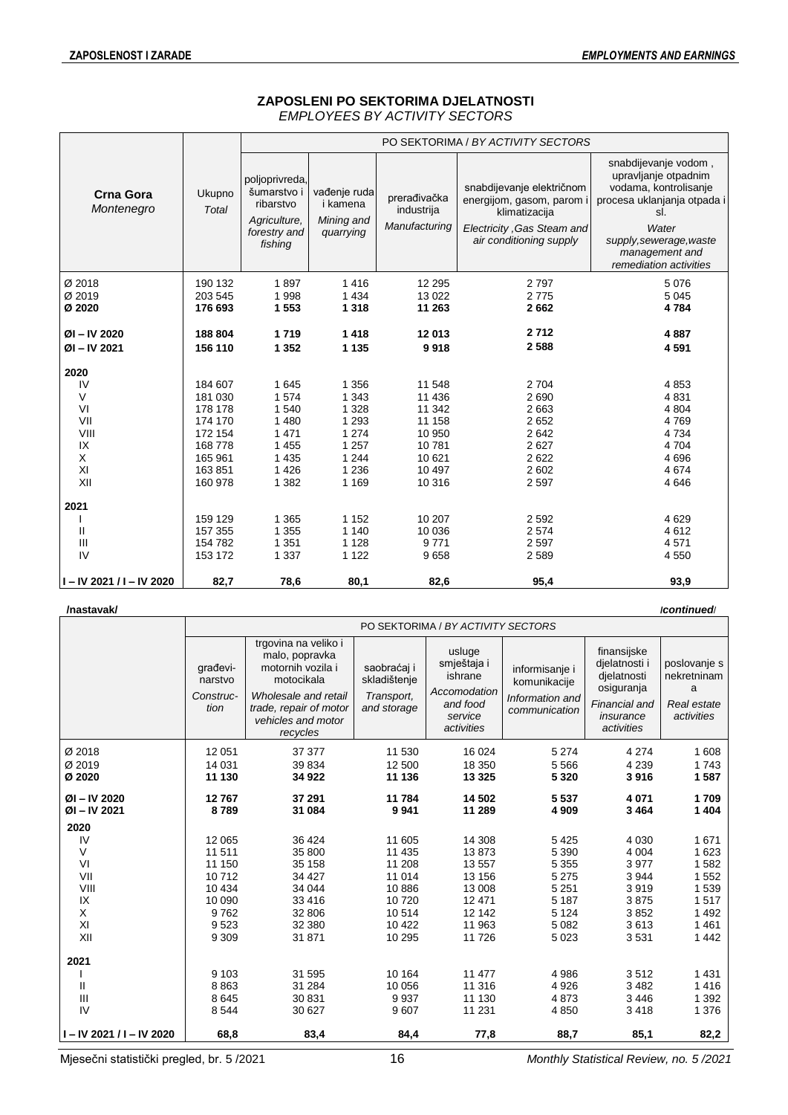## **ZAPOSLENI PO SEKTORIMA DJELATNOSTI** *EMPLOYEES BY ACTIVITY SECTORS*

|                                |                 |                                                                                       |                                                     |                                             | PO SEKTORIMA / BY ACTIVITY SECTORS                                                                                               |                                                                                                                                                                                             |
|--------------------------------|-----------------|---------------------------------------------------------------------------------------|-----------------------------------------------------|---------------------------------------------|----------------------------------------------------------------------------------------------------------------------------------|---------------------------------------------------------------------------------------------------------------------------------------------------------------------------------------------|
| <b>Crna Gora</b><br>Montenegro | Ukupno<br>Total | poljoprivreda,<br>šumarstvo i<br>ribarstvo<br>Agriculture,<br>forestry and<br>fishing | vađenje ruda<br>i kamena<br>Mining and<br>quarrying | prerađivačka<br>industrija<br>Manufacturing | snabdijevanje električnom<br>energijom, gasom, parom i<br>klimatizacija<br>Electricity, Gas Steam and<br>air conditioning supply | snabdijevanje vodom,<br>upravljanje otpadnim<br>vodama, kontrolisanje<br>procesa uklanjanja otpada i<br>sl.<br>Water<br>supply, sewerage, waste<br>management and<br>remediation activities |
| Ø 2018                         | 190 132         | 1897                                                                                  | 1416                                                | 12 295                                      | 2797                                                                                                                             | 5 0 7 6                                                                                                                                                                                     |
| Ø 2019                         | 203 545         | 1998                                                                                  | 1 4 3 4                                             | 13 0 22                                     | 2 7 7 5                                                                                                                          | 5 0 4 5                                                                                                                                                                                     |
| Ø 2020                         | 176 693         | 1 5 5 3                                                                               | 1 3 1 8                                             | 11 263                                      | 2662                                                                                                                             | 4784                                                                                                                                                                                        |
|                                |                 |                                                                                       |                                                     |                                             |                                                                                                                                  |                                                                                                                                                                                             |
| $ØI - IV 2020$                 | 188 804         | 1719                                                                                  | 1418                                                | 12 013                                      | 2712                                                                                                                             | 4887                                                                                                                                                                                        |
| ØI-IV 2021                     | 156 110         | 1 3 5 2                                                                               | 1 1 3 5                                             | 9918                                        | 2588                                                                                                                             | 4 5 9 1                                                                                                                                                                                     |
| 2020                           |                 |                                                                                       |                                                     |                                             |                                                                                                                                  |                                                                                                                                                                                             |
| IV                             | 184 607         | 1645                                                                                  | 1 3 5 6                                             | 11 548                                      | 2 7 0 4                                                                                                                          | 4853                                                                                                                                                                                        |
| $\vee$                         | 181 030         | 1574                                                                                  | 1 3 4 3                                             | 11 436                                      | 2690                                                                                                                             | 4831                                                                                                                                                                                        |
| VI                             | 178 178         | 1 540                                                                                 | 1 3 2 8                                             | 11 342                                      | 2 6 6 3                                                                                                                          | 4 8 0 4                                                                                                                                                                                     |
| VII                            | 174 170         | 1 4 8 0                                                                               | 1 2 9 3                                             | 11 158                                      | 2652                                                                                                                             | 4769                                                                                                                                                                                        |
| VIII                           | 172 154         | 1 4 7 1                                                                               | 1 2 7 4                                             | 10 950                                      | 2642                                                                                                                             | 4734                                                                                                                                                                                        |
| IX                             | 168778          | 1 4 5 5                                                                               | 1 2 5 7                                             | 10781                                       | 2627                                                                                                                             | 4704                                                                                                                                                                                        |
| X                              | 165 961         | 1 4 3 5                                                                               | 1 2 4 4                                             | 10 621                                      | 2622                                                                                                                             | 4696                                                                                                                                                                                        |
| XI                             | 163851          | 1 4 2 6                                                                               | 1 2 3 6                                             | 10 497                                      | 2 602                                                                                                                            | 4674                                                                                                                                                                                        |
| XII                            | 160 978         | 1 3 8 2                                                                               | 1 1 6 9                                             | 10 316                                      | 2 5 9 7                                                                                                                          | 4646                                                                                                                                                                                        |
| 2021                           |                 |                                                                                       |                                                     |                                             |                                                                                                                                  |                                                                                                                                                                                             |
|                                | 159 129         | 1 3 6 5                                                                               | 1 1 5 2                                             | 10 207                                      | 2 5 9 2                                                                                                                          | 4629                                                                                                                                                                                        |
| Ш                              | 157 355         | 1 3 5 5                                                                               | 1 140                                               | 10 036                                      | 2 5 7 4                                                                                                                          | 4612                                                                                                                                                                                        |
| Ш                              | 154 782         | 1 3 5 1                                                                               | 1 1 2 8                                             | 9771                                        | 2 5 9 7                                                                                                                          | 4571                                                                                                                                                                                        |
| IV                             | 153 172         | 1 3 3 7                                                                               | 1 1 2 2                                             | 9658                                        | 2589                                                                                                                             | 4 5 5 0                                                                                                                                                                                     |
| I-IV 2021 / I-IV 2020          | 82,7            | 78,6                                                                                  | 80,1                                                | 82,6                                        | 95,4                                                                                                                             | 93,9                                                                                                                                                                                        |

#### **/nastavak/ /***continued*/

 $\overline{\phantom{a}}$ 

|                             | PO SEKTORIMA / BY ACTIVITY SECTORS       |                                                                                                                                                               |                                                          |                                                                                       |                                                                    |                                                                                                       |                                                               |  |  |
|-----------------------------|------------------------------------------|---------------------------------------------------------------------------------------------------------------------------------------------------------------|----------------------------------------------------------|---------------------------------------------------------------------------------------|--------------------------------------------------------------------|-------------------------------------------------------------------------------------------------------|---------------------------------------------------------------|--|--|
|                             | qrađevi-<br>narstvo<br>Construc-<br>tion | trgovina na veliko i<br>malo, popravka<br>motornih vozila i<br>motocikala<br>Wholesale and retail<br>trade, repair of motor<br>vehicles and motor<br>recycles | saobraćaj i<br>skladištenje<br>Transport,<br>and storage | usluge<br>smještaja i<br>ishrane<br>Accomodation<br>and food<br>service<br>activities | informisanje i<br>komunikacije<br>Information and<br>communication | finansijske<br>djelatnosti i<br>dielatnosti<br>osiguranja<br>Financial and<br>insurance<br>activities | poslovanje s<br>nekretninam<br>a<br>Real estate<br>activities |  |  |
| Ø 2018                      | 12 051                                   | 37 377                                                                                                                                                        | 11 530                                                   | 16 0 24                                                                               | 5 2 7 4                                                            | 4 2 7 4                                                                                               | 1 608                                                         |  |  |
| Ø 2019                      | 14 031                                   | 39 834                                                                                                                                                        | 12 500                                                   | 18 350                                                                                | 5 5 6 6                                                            | 4 2 3 9                                                                                               | 1743                                                          |  |  |
| Ø 2020                      | 11 130                                   | 34 922                                                                                                                                                        | 11 136                                                   | 13 3 25                                                                               | 5 3 2 0                                                            | 3916                                                                                                  | 1587                                                          |  |  |
| ØI-IV 2020                  | 12767                                    | 37 291                                                                                                                                                        | 11 784                                                   | 14 502                                                                                | 5 5 3 7                                                            | 4 0 7 1                                                                                               | 1709                                                          |  |  |
| ØI-IV 2021                  | 8789                                     | 31 084                                                                                                                                                        | 9941                                                     | 11 289                                                                                | 4 9 0 9                                                            | 3464                                                                                                  | 1 4 0 4                                                       |  |  |
| 2020                        |                                          |                                                                                                                                                               |                                                          |                                                                                       |                                                                    |                                                                                                       |                                                               |  |  |
| IV                          | 12 0 65                                  | 36 4 24                                                                                                                                                       | 11 605                                                   | 14 308                                                                                | 5 4 2 5                                                            | 4 0 3 0                                                                                               | 1671                                                          |  |  |
| $\vee$                      | 11511                                    | 35 800                                                                                                                                                        | 11 4 35                                                  | 13873                                                                                 | 5 3 9 0                                                            | 4 0 0 4                                                                                               | 1 6 2 3                                                       |  |  |
| VI                          | 11 150                                   | 35 158                                                                                                                                                        | 11 208                                                   | 13557                                                                                 | 5 3 5 5                                                            | 3977                                                                                                  | 1582                                                          |  |  |
| VII                         | 10712                                    | 34 427                                                                                                                                                        | 11 014                                                   | 13 156                                                                                | 5 2 7 5                                                            | 3944                                                                                                  | 1 5 5 2                                                       |  |  |
| VIII                        | 10 4 34                                  | 34 044                                                                                                                                                        | 10886                                                    | 13 008                                                                                | 5 2 5 1                                                            | 3919                                                                                                  | 1539                                                          |  |  |
| IX                          | 10 090                                   | 33 4 16                                                                                                                                                       | 10720                                                    | 12 4 7 1                                                                              | 5 1 8 7                                                            | 3875                                                                                                  | 1517                                                          |  |  |
| X                           | 9762                                     | 32 806                                                                                                                                                        | 10514                                                    | 12 142                                                                                | 5 1 2 4                                                            | 3852                                                                                                  | 1 4 9 2                                                       |  |  |
| XI                          | 9523                                     | 32 380                                                                                                                                                        | 10 422                                                   | 11 963                                                                                | 5 0 8 2                                                            | 3613                                                                                                  | 1461                                                          |  |  |
| XII                         | 9 3 0 9                                  | 31 871                                                                                                                                                        | 10 295                                                   | 11726                                                                                 | 5 0 23                                                             | 3531                                                                                                  | 1 4 4 2                                                       |  |  |
| 2021                        |                                          |                                                                                                                                                               |                                                          |                                                                                       |                                                                    |                                                                                                       |                                                               |  |  |
|                             | 9 1 0 3                                  | 31 595                                                                                                                                                        | 10 164                                                   | 11 477                                                                                | 4 9 8 6                                                            | 3512                                                                                                  | 1 4 3 1                                                       |  |  |
| Ш                           | 8863                                     | 31 284                                                                                                                                                        | 10 056                                                   | 11 316                                                                                | 4 9 2 6                                                            | 3482                                                                                                  | 1416                                                          |  |  |
| Ш                           | 8645                                     | 30 831                                                                                                                                                        | 9937                                                     | 11 130                                                                                | 4873                                                               | 3446                                                                                                  | 1 3 9 2                                                       |  |  |
| IV                          | 8544                                     | 30 627                                                                                                                                                        | 9607                                                     | 11 231                                                                                | 4 8 5 0                                                            | 3418                                                                                                  | 1 3 7 6                                                       |  |  |
| $I - IV 2021 / I - IV 2020$ | 68,8                                     | 83,4                                                                                                                                                          | 84,4                                                     | 77,8                                                                                  | 88,7                                                               | 85,1                                                                                                  | 82,2                                                          |  |  |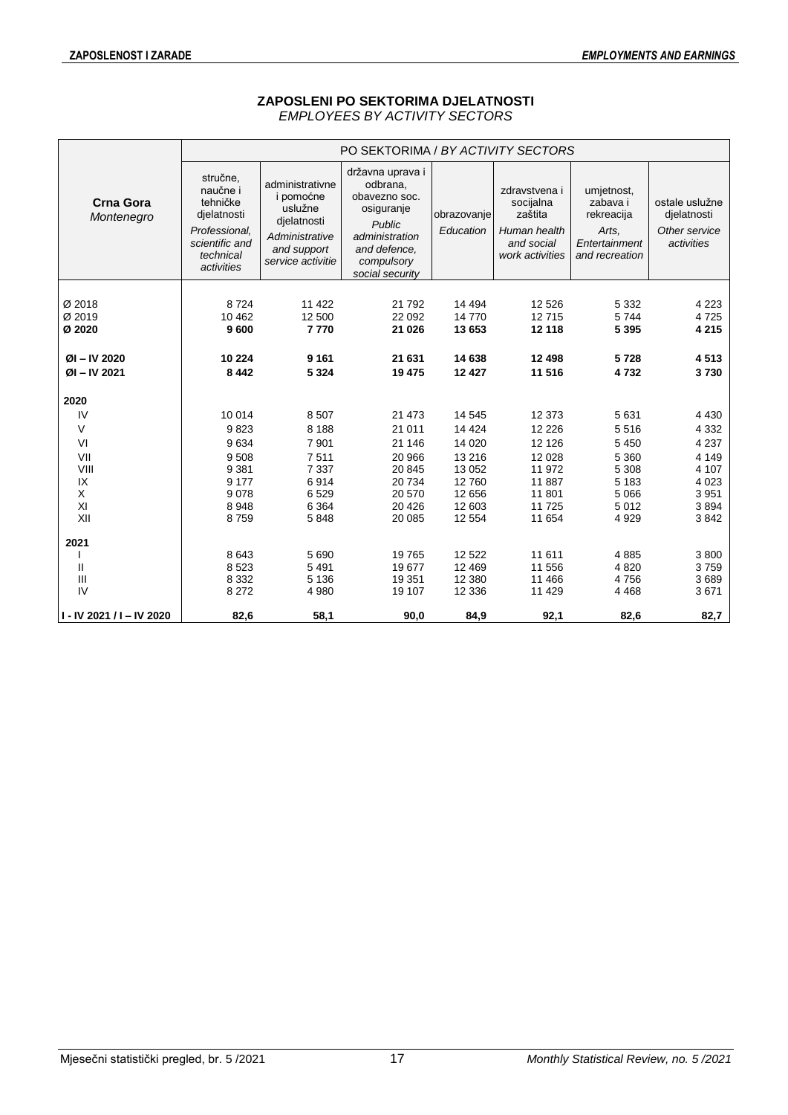## **ZAPOSLENI PO SEKTORIMA DJELATNOSTI** *EMPLOYEES BY ACTIVITY SECTORS*

|                                |                                                                                                               |                                                                                                              | PO SEKTORIMA / BY ACTIVITY SECTORS                                                                                                       |                          |                                                                                        |                                                                                  |                                                              |
|--------------------------------|---------------------------------------------------------------------------------------------------------------|--------------------------------------------------------------------------------------------------------------|------------------------------------------------------------------------------------------------------------------------------------------|--------------------------|----------------------------------------------------------------------------------------|----------------------------------------------------------------------------------|--------------------------------------------------------------|
| <b>Crna Gora</b><br>Montenegro | stručne,<br>naučne i<br>tehničke<br>djelatnosti<br>Professional,<br>scientific and<br>technical<br>activities | administrativne<br>i pomoćne<br>uslužne<br>dielatnosti<br>Administrative<br>and support<br>service activitie | državna uprava i<br>odbrana,<br>obavezno soc.<br>osiguranje<br>Public<br>administration<br>and defence,<br>compulsory<br>social security | obrazovanje<br>Education | zdravstvena i<br>socijalna<br>zaštita<br>Human health<br>and social<br>work activities | umjetnost,<br>zabava i<br>rekreacija<br>Arts.<br>Entertainment<br>and recreation | ostale uslužne<br>djelatnosti<br>Other service<br>activities |
|                                |                                                                                                               |                                                                                                              |                                                                                                                                          |                          |                                                                                        |                                                                                  |                                                              |
| Ø 2018                         | 8724                                                                                                          | 11 422                                                                                                       | 21 7 9 2                                                                                                                                 | 14 4 94                  | 12 5 26                                                                                | 5 3 3 2                                                                          | 4 2 2 3                                                      |
| Ø 2019                         | 10 4 62                                                                                                       | 12 500                                                                                                       | 22 092                                                                                                                                   | 14770                    | 12715                                                                                  | 5744                                                                             | 4725                                                         |
| Ø 2020                         | 9600                                                                                                          | 7770                                                                                                         | 21 0 26                                                                                                                                  | 13 653                   | 12 118                                                                                 | 5 3 9 5                                                                          | 4 2 1 5                                                      |
| $ØI - IV 2020$                 | 10 224                                                                                                        | 9 1 6 1                                                                                                      | 21 631                                                                                                                                   | 14 638                   | 12 4 98                                                                                | 5728                                                                             | 4513                                                         |
| $ØI - IV 2021$                 | 8 4 4 2                                                                                                       | 5 3 2 4                                                                                                      | 19 475                                                                                                                                   | 12 4 27                  | 11 516                                                                                 | 4732                                                                             | 3730                                                         |
| 2020                           |                                                                                                               |                                                                                                              |                                                                                                                                          |                          |                                                                                        |                                                                                  |                                                              |
| IV                             | 10 014                                                                                                        | 8507                                                                                                         | 21 4 7 3                                                                                                                                 | 14 545                   | 12 373                                                                                 | 5631                                                                             | 4 4 3 0                                                      |
| V                              | 9823                                                                                                          | 8 1 8 8                                                                                                      | 21 011                                                                                                                                   | 14 4 24                  | 12 2 2 6                                                                               | 5516                                                                             | 4 3 3 2                                                      |
| VI                             | 9634                                                                                                          | 7 9 0 1                                                                                                      | 21 146                                                                                                                                   | 14 0 20                  | 12 1 26                                                                                | 5 4 5 0                                                                          | 4 2 3 7                                                      |
| VII                            | 9 5 0 8                                                                                                       | 7511                                                                                                         | 20 966                                                                                                                                   | 13 216                   | 12 0 28                                                                                | 5 3 6 0                                                                          | 4 1 4 9                                                      |
| VIII                           | 9 3 8 1                                                                                                       | 7 3 3 7                                                                                                      | 20 845                                                                                                                                   | 13 052                   | 11 972                                                                                 | 5 3 0 8                                                                          | 4 107                                                        |
| IX                             | 9 1 7 7                                                                                                       | 6914                                                                                                         | 20 734                                                                                                                                   | 12760                    | 11 887                                                                                 | 5 1 8 3                                                                          | 4 0 23                                                       |
| X                              | 9078                                                                                                          | 6529                                                                                                         | 20 570                                                                                                                                   | 12 656                   | 11 801                                                                                 | 5 0 6 6                                                                          | 3 9 5 1                                                      |
| XI                             | 8948                                                                                                          | 6 3 6 4                                                                                                      | 20 4 26                                                                                                                                  | 12 603                   | 11 7 25                                                                                | 5012                                                                             | 3894                                                         |
| XII                            | 8759                                                                                                          | 5848                                                                                                         | 20 085                                                                                                                                   | 12 5 54                  | 11 654                                                                                 | 4929                                                                             | 3842                                                         |
| 2021                           |                                                                                                               |                                                                                                              |                                                                                                                                          |                          |                                                                                        |                                                                                  |                                                              |
|                                | 8643                                                                                                          | 5 6 9 0                                                                                                      | 19 765                                                                                                                                   | 12 5 22                  | 11 611                                                                                 | 4885                                                                             | 3800                                                         |
| Ш                              | 8 5 23                                                                                                        | 5 4 9 1                                                                                                      | 19677                                                                                                                                    | 12 4 69                  | 11 556                                                                                 | 4820                                                                             | 3759                                                         |
| III                            | 8 3 3 2                                                                                                       | 5 1 3 6                                                                                                      | 19 351                                                                                                                                   | 12 3 8 0                 | 11 466                                                                                 | 4756                                                                             | 3689                                                         |
| IV                             | 8 2 7 2                                                                                                       | 4 9 8 0                                                                                                      | 19 107                                                                                                                                   | 12 3 36                  | 11 4 29                                                                                | 4 4 6 8                                                                          | 3671                                                         |
| I - IV 2021 / I - IV 2020      | 82,6                                                                                                          | 58,1                                                                                                         | 90,0                                                                                                                                     | 84,9                     | 92,1                                                                                   | 82,6                                                                             | 82,7                                                         |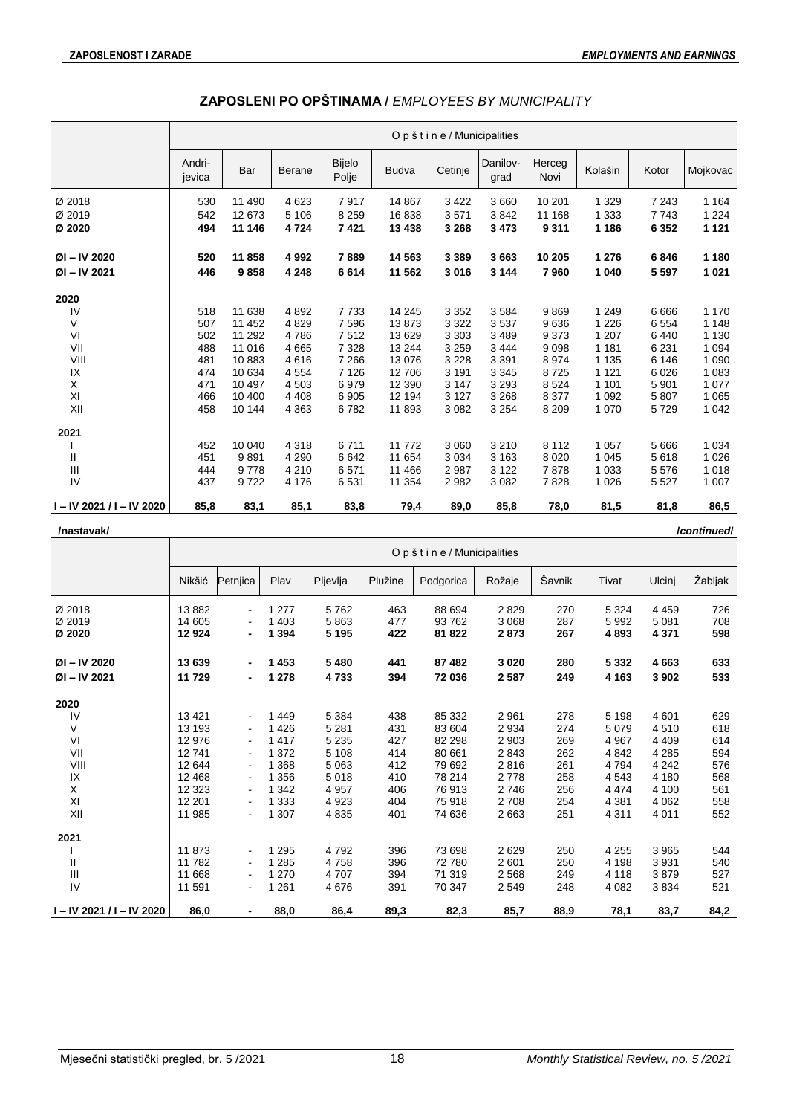|                             |                  |        |               |                 |              | Opštine/Municipalities |                  |                |         |         |          |
|-----------------------------|------------------|--------|---------------|-----------------|--------------|------------------------|------------------|----------------|---------|---------|----------|
|                             | Andri-<br>jevica | Bar    | <b>Berane</b> | Bijelo<br>Polje | <b>Budva</b> | Cetinje                | Danilov-<br>grad | Herceg<br>Novi | Kolašin | Kotor   | Mojkovac |
| Ø 2018                      | 530              | 11 490 | 4623          | 7917            | 14 867       | 3 4 2 2                | 3 6 6 0          | 10 201         | 1 3 2 9 | 7 2 4 3 | 1 1 6 4  |
| Ø 2019                      | 542              | 12 673 | 5 1 0 6       | 8 2 5 9         | 16838        | 3571                   | 3842             | 11 168         | 1 3 3 3 | 7743    | 1 2 2 4  |
| Ø 2020                      | 494              | 11 146 | 4724          | 7421            | 13 4 38      | 3 2 6 8                | 3 4 7 3          | 9 3 1 1        | 1 1 8 6 | 6 3 5 2 | 1 1 2 1  |
|                             |                  |        |               |                 |              |                        |                  |                |         |         |          |
| ØI-IV 2020                  | 520              | 11858  | 4992          | 7889            | 14 5 63      | 3 3 8 9                | 3663             | 10 205         | 1 2 7 6 | 6846    | 1 1 8 0  |
| $ØI - IV 2021$              | 446              | 9858   | 4 2 4 8       | 6614            | 11 562       | 3016                   | 3 1 4 4          | 7960           | 1 0 4 0 | 5 5 9 7 | 1 0 2 1  |
| 2020                        |                  |        |               |                 |              |                        |                  |                |         |         |          |
| IV                          | 518              | 11 638 | 4892          | 7733            | 14 245       | 3 3 5 2                | 3584             | 9869           | 1 2 4 9 | 6666    | 1 1 7 0  |
| V                           | 507              | 11 452 | 4829          | 7596            | 13873        | 3 3 2 2                | 3537             | 9636           | 1 2 2 6 | 6554    | 1 1 4 8  |
| VI                          | 502              | 11 292 | 4786          | 7512            | 13 629       | 3 3 0 3                | 3 4 8 9          | 9 3 7 3        | 1 207   | 6440    | 1 1 3 0  |
| VII                         | 488              | 11 016 | 4665          | 7 3 2 8         | 13 244       | 3 2 5 9                | 3 4 4 4          | 9098           | 1 1 8 1 | 6 2 3 1 | 1 0 9 4  |
| VIII                        | 481              | 10883  | 4616          | 7 2 6 6         | 13 0 76      | 3 2 2 8                | 3 3 9 1          | 8974           | 1 1 3 5 | 6 1 4 6 | 1 0 9 0  |
| IX                          | 474              | 10 634 | 4554          | 7 1 2 6         | 12 706       | 3 1 9 1                | 3 3 4 5          | 8725           | 1 1 2 1 | 6 0 26  | 1 0 8 3  |
| X                           | 471              | 10 497 | 4503          | 6979            | 12 390       | 3 1 4 7                | 3 2 9 3          | 8524           | 1 1 0 1 | 5 9 0 1 | 1 0 7 7  |
| XI                          | 466              | 10 400 | 4 4 0 8       | 6 9 0 5         | 12 194       | 3 1 2 7                | 3 2 6 8          | 8 3 7 7        | 1 0 9 2 | 5 807   | 1 0 6 5  |
| XII                         | 458              | 10 144 | 4 3 6 3       | 6782            | 11 893       | 3 0 8 2                | 3 2 5 4          | 8 2 0 9        | 1 0 7 0 | 5729    | 1 0 4 2  |
| 2021                        |                  |        |               |                 |              |                        |                  |                |         |         |          |
|                             | 452              | 10 040 | 4 3 1 8       | 6711            | 11 772       | 3 0 6 0                | 3 2 1 0          | 8 1 1 2        | 1 0 5 7 | 5 6 6 6 | 1 0 3 4  |
| Ш                           | 451              | 9891   | 4 2 9 0       | 6642            | 11 654       | 3 0 3 4                | 3 1 6 3          | 8 0 2 0        | 1 0 4 5 | 5618    | 1 0 2 6  |
| Ш                           | 444              | 9778   | 4 2 1 0       | 6571            | 11 466       | 2 9 8 7                | 3 1 2 2          | 7878           | 1 0 3 3 | 5576    | 1 0 1 8  |
| IV                          | 437              | 9722   | 4 1 7 6       | 6531            | 11 354       | 2 9 8 2                | 3 0 8 2          | 7828           | 1 0 2 6 | 5 5 2 7 | 1 0 0 7  |
| $I - IV 2021 / I - IV 2020$ | 85,8             | 83,1   | 85,1          | 83,8            | 79,4         | 89,0                   | 85,8             | 78,0           | 81,5    | 81,8    | 86,5     |

# **ZAPOSLENI PO OPŠTINAMA /** *EMPLOYEES BY MUNICIPALITY*

| /nastavak/                       |                          |                |                             |                         |                   |                          |                         |                   |                         |                               | /continuedl       |
|----------------------------------|--------------------------|----------------|-----------------------------|-------------------------|-------------------|--------------------------|-------------------------|-------------------|-------------------------|-------------------------------|-------------------|
|                                  |                          |                |                             |                         |                   | Opštine/Municipalities   |                         |                   |                         |                               |                   |
|                                  | Nikšić                   | Petniica       | Plav                        | Pljevlja                | Plužine           | Podgorica                | Rožaje                  | Šavnik            | Tivat                   | Ulcinj                        | Žabljak           |
| Ø 2018<br>Ø 2019<br>Ø 2020       | 13882<br>14 605<br>12924 |                | 1 277<br>1 4 0 3<br>1 3 9 4 | 5762<br>5863<br>5 1 9 5 | 463<br>477<br>422 | 88 694<br>93762<br>81822 | 2829<br>3 0 6 8<br>2873 | 270<br>287<br>267 | 5 3 2 4<br>5992<br>4893 | 4 4 5 9<br>5 0 8 1<br>4 3 7 1 | 726<br>708<br>598 |
| $ØI - IV 2020$<br>$ØI - IV 2021$ | 13 639<br>11729          | $\blacksquare$ | 1 4 5 3<br>1 2 7 8          | 5 4 8 0<br>4733         | 441<br>394        | 87 482<br>72 036         | 3 0 2 0<br>2587         | 280<br>249        | 5 3 3 2<br>4 1 6 3      | 4663<br>3 9 0 2               | 633<br>533        |
| 2020                             |                          |                |                             |                         |                   |                          |                         |                   |                         |                               |                   |
| IV                               | 13421                    | $\blacksquare$ | 1449                        | 5 3 8 4                 | 438               | 85 332                   | 2 9 6 1                 | 278               | 5 1 9 8                 | 4 601                         | 629               |
| V                                | 13 193                   | $\blacksquare$ | 1426                        | 5 2 8 1                 | 431               | 83 604                   | 2 9 3 4                 | 274               | 5 0 7 9                 | 4510                          | 618               |
| VI                               | 12 976                   |                | 1 4 1 7                     | 5 2 3 5                 | 427               | 82 298                   | 2 9 0 3                 | 269               | 4 9 67                  | 4 4 0 9                       | 614               |
| VII                              | 12741                    |                | 1 3 7 2                     | 5 1 0 8                 | 414               | 80 661                   | 2843                    | 262               | 4842                    | 4 2 8 5                       | 594               |
| VIII                             | 12 644                   | $\blacksquare$ | 1 3 6 8                     | 5 0 6 3                 | 412               | 79 692                   | 2816                    | 261               | 4794                    | 4 2 4 2                       | 576               |
| IX                               | 12 4 68                  |                | 1 3 5 6                     | 5018                    | 410               | 78 214                   | 2778                    | 258               | 4 5 4 3                 | 4 180                         | 568               |
| X                                | 12 3 23                  |                | 1 3 4 2                     | 4 9 5 7                 | 406               | 76913                    | 2746                    | 256               | 4 4 7 4                 | 4 100                         | 561               |
| XI                               | 12 201                   | $\blacksquare$ | 1 3 3 3                     | 4923                    | 404               | 75 918                   | 2708                    | 254               | 4 3 8 1                 | 4 0 6 2                       | 558               |
| XII                              | 11 985                   | $\blacksquare$ | 1 307                       | 4835                    | 401               | 74 636                   | 2 6 6 3                 | 251               | 4 3 1 1                 | 4 0 1 1                       | 552               |
| 2021                             |                          |                |                             |                         |                   |                          |                         |                   |                         |                               |                   |
|                                  | 11873                    |                | 1 2 9 5                     | 4792                    | 396               | 73 698                   | 2629                    | 250               | 4 2 5 5                 | 3 9 6 5                       | 544               |
| Ш                                | 11782                    | $\blacksquare$ | 1 2 8 5                     | 4758                    | 396               | 72780                    | 2 601                   | 250               | 4 1 9 8                 | 3 9 3 1                       | 540               |
| Ш                                | 11 668                   |                | 1 270                       | 4707                    | 394               | 71 319                   | 2 5 6 8                 | 249               | 4 1 1 8                 | 3879                          | 527               |
| IV                               | 11 591                   | $\blacksquare$ | 1 2 6 1                     | 4676                    | 391               | 70 347                   | 2 5 4 9                 | 248               | 4 0 8 2                 | 3834                          | 521               |
| I-IV 2021 / I-IV 2020            | 86,0                     | ۰.             | 88,0                        | 86,4                    | 89,3              | 82,3                     | 85,7                    | 88,9              | 78,1                    | 83,7                          | 84,2              |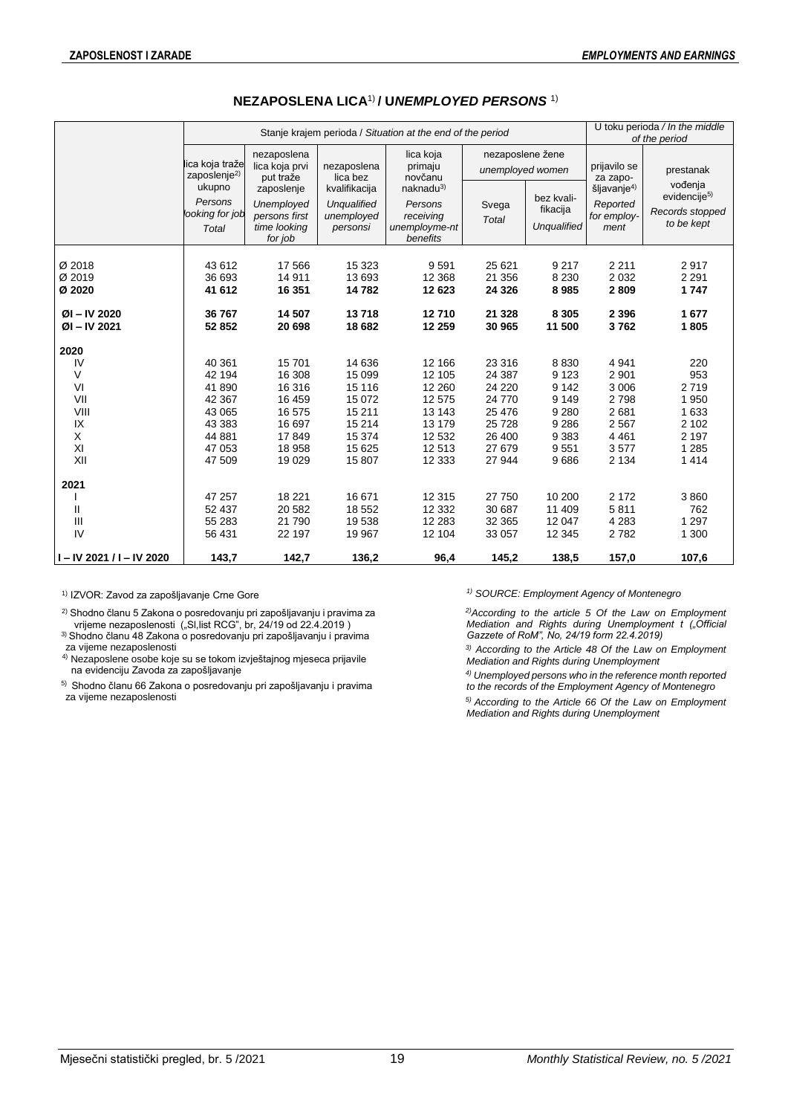|                                       |                                                      |                                                                      |                                                               | Stanje krajem perioda / Situation at the end of the period                |                                                  |                                                  |                                                            | U toku perioda / In the middle<br>of the period                      |
|---------------------------------------|------------------------------------------------------|----------------------------------------------------------------------|---------------------------------------------------------------|---------------------------------------------------------------------------|--------------------------------------------------|--------------------------------------------------|------------------------------------------------------------|----------------------------------------------------------------------|
|                                       | lica koja traže<br>zaposlenje $^{2)}$                | nezaposlena<br>lica koja prvi<br>put traže                           | nezaposlena<br>lica bez                                       | lica koja<br>primaju<br>novčanu                                           | nezaposlene žene<br>unemployed women             |                                                  | prijavilo se<br>za zapo-                                   | prestanak                                                            |
|                                       | ukupno<br>Persons<br>looking for job<br><b>Total</b> | zaposlenje<br>Unemployed<br>persons first<br>time looking<br>for job | kvalifikacija<br><b>Unqualified</b><br>unemployed<br>personsi | naknadu <sup>3</sup><br>Persons<br>receiving<br>unemployme-nt<br>benefits | Svega<br><b>Total</b>                            | bez kvali-<br>fikacija<br>Unqualified            | šljavanje <sup>4)</sup><br>Reported<br>for employ-<br>ment | vođenja<br>evidencije <sup>5)</sup><br>Records stopped<br>to be kept |
| Ø 2018<br>Ø 2019<br>Ø 2020            | 43 612<br>36 693<br>41 612                           | 17 566<br>14 911<br>16 351                                           | 15 3 23<br>13 693<br>14782                                    | 9591<br>12 3 68<br>12 623                                                 | 25 6 21<br>21 356<br>24 3 26                     | 9 2 1 7<br>8 2 3 0<br>8985                       | 2 2 1 1<br>2 0 3 2<br>2809                                 | 2917<br>2 2 9 1<br>1747                                              |
| $ØI - IV 2020$<br>$ØI - IV 2021$      | 36 767<br>52 852                                     | 14 507<br>20 698                                                     | 13718<br>18 682                                               | 12710<br>12 259                                                           | 21 3 28<br>30 965                                | 8 3 0 5<br>11 500                                | 2 3 9 6<br>3762                                            | 1677<br>1805                                                         |
| 2020<br>IV<br>V<br>VI<br>VII<br>VIII  | 40 361<br>42 194<br>41 890<br>42 367<br>43 065       | 15701<br>16 308<br>16 316<br>16 459<br>16 575                        | 14 636<br>15 099<br>15 116<br>15 0 72<br>15 211               | 12 166<br>12 105<br>12 260<br>12 575<br>13 143                            | 23 316<br>24 387<br>24 2 20<br>24 770<br>25 4 76 | 8830<br>9 1 2 3<br>9 1 4 2<br>9 1 4 9<br>9 2 8 0 | 4 9 4 1<br>2 9 0 1<br>3 0 0 6<br>2798<br>2681              | 220<br>953<br>2719<br>1 950<br>1 633                                 |
| IX<br>X<br>XI<br>XII<br>2021          | 43 383<br>44 881<br>47 053<br>47 509                 | 16 697<br>17849<br>18 958<br>19 0 29                                 | 15 214<br>15 374<br>15 625<br>15 807                          | 13 179<br>12 532<br>12513<br>12 3 33                                      | 25 7 28<br>26 400<br>27 679<br>27 944            | 9 2 8 6<br>9 3 8 3<br>9551<br>9686               | 2 5 6 7<br>4 4 6 1<br>3577<br>2 1 3 4                      | 2 102<br>2 1 9 7<br>1 2 8 5<br>1414                                  |
| Ш<br>Ш<br>IV<br>I-IV 2021 / I-IV 2020 | 47 257<br>52 437<br>55 283<br>56 431<br>143,7        | 18 2 21<br>20 582<br>21 790<br>22 197<br>142,7                       | 16 671<br>18 5 52<br>19538<br>19 967<br>136,2                 | 12 3 15<br>12 3 32<br>12 2 8 3<br>12 104<br>96,4                          | 27 750<br>30 687<br>32 365<br>33 057<br>145,2    | 10 200<br>11 409<br>12 047<br>12 3 45<br>138,5   | 2 1 7 2<br>5811<br>4 2 8 3<br>2782<br>157,0                | 3860<br>762<br>1 2 9 7<br>1 300<br>107,6                             |

## **NEZAPOSLENA LICA**1) **/ U***NEMPLOYED PERSONS* 1)

<sup>2)</sup> Shodno članu 5 Zakona o posredovanju pri zapošljavanju i pravima za vrijeme nezaposlenosti ("Sl,list RCG", br, 24/19 od 22.4.2019 )

 $^{\scriptscriptstyle 3)}$ Shodno članu 48 Zakona o posredovanju pri zapošljavanju i pravima za vijeme nezaposlenosti

4) Nezaposlene osobe koje su se tokom izvještajnog mjeseca prijavile na evidenciju Zavoda za zapošljavanje

5) Shodno članu 66 Zakona o posredovanju pri zapošljavanju i pravima za vijeme nezaposlenosti

1) IZVOR: Zavod za zapošljavanje Crne Gore *1) SOURCE: Employment Agency of Montenegro* 

*2)According to the article 5 Of the Law on Employment Mediation and Rights during Unemployment t ("Official Gazzete of RoM", No, 24/19 form 22.4.2019)*

*3) According to the Article 48 Of the Law on Employment Mediation and Rights during Unemployment*

*4) Unemployed persons who in the reference month reported to the records of the Employment Agency of Montenegro* 

*5) According to the Article 66 Of the Law on Employment Mediation and Rights during Unemployment*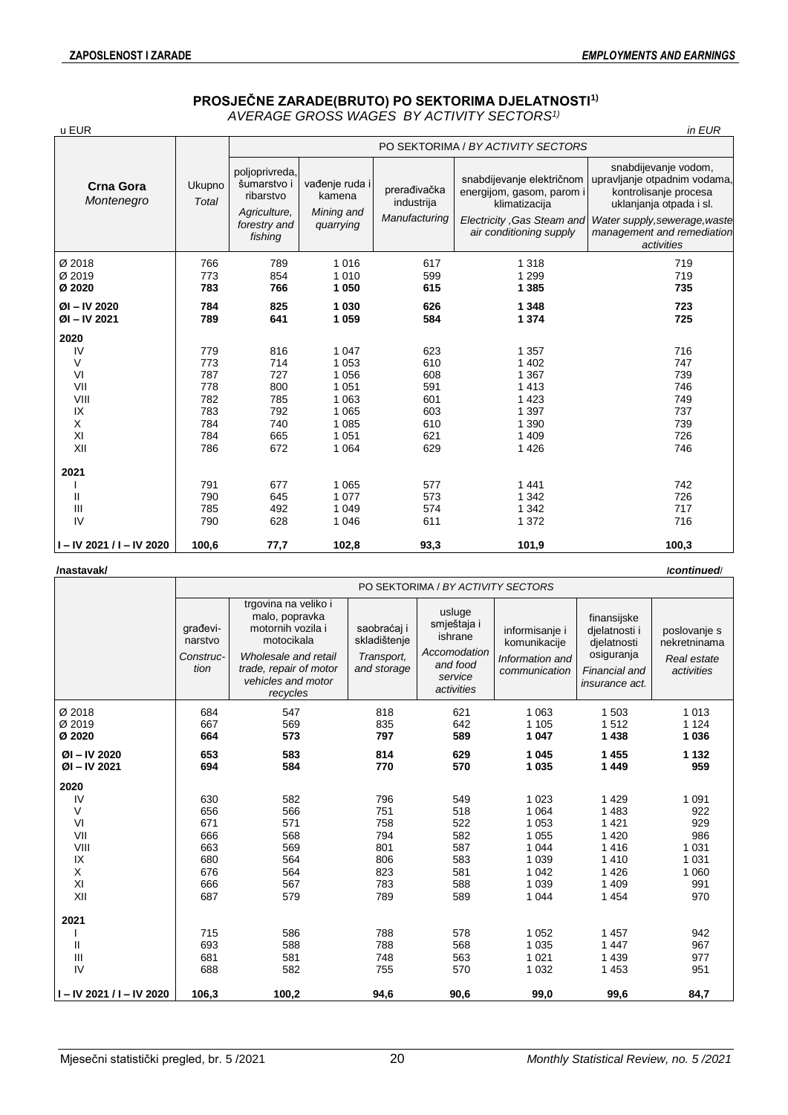## **PROSJEČNE ZARADE(BRUTO) PO SEKTORIMA DJELATNOSTI1)** *AVERAGE GROSS WAGES BY ACTIVITY SECTORS1)*

| u EUR                            |                        |                                                            |                                        |                                             |                                                                         | in EUR                                                                                                   |
|----------------------------------|------------------------|------------------------------------------------------------|----------------------------------------|---------------------------------------------|-------------------------------------------------------------------------|----------------------------------------------------------------------------------------------------------|
|                                  |                        |                                                            |                                        |                                             | PO SEKTORIMA / BY ACTIVITY SECTORS                                      |                                                                                                          |
| <b>Crna Gora</b><br>Montenegro   | Ukupno<br><b>Total</b> | poljoprivreda,<br>šumarstvo i<br>ribarstvo<br>Agriculture, | vađenje ruda i<br>kamena<br>Mining and | prerađivačka<br>industrija<br>Manufacturing | snabdijevanje električnom<br>energijom, gasom, parom i<br>klimatizacija | snabdijevanje vodom,<br>upravljanje otpadnim vodama,<br>kontrolisanje procesa<br>uklanjanja otpada i sl. |
|                                  |                        | forestry and<br>fishing                                    | quarrying                              |                                             | Electricity .Gas Steam and<br>air conditioning supply                   | Water supply, sewerage, waste<br>management and remediation<br>activities                                |
| Ø 2018                           | 766                    | 789                                                        | 1016                                   | 617                                         | 1 3 1 8                                                                 | 719                                                                                                      |
| Ø 2019                           | 773                    | 854                                                        | 1 0 1 0                                | 599                                         | 1 2 9 9                                                                 | 719                                                                                                      |
| Ø 2020                           | 783                    | 766                                                        | 1 0 5 0                                | 615                                         | 1 3 8 5                                                                 | 735                                                                                                      |
| $ØI - IV 2020$<br>$ØI - IV 2021$ | 784<br>789             | 825<br>641                                                 | 1 0 3 0<br>1 0 5 9                     | 626<br>584                                  | 1 3 4 8<br>1 3 7 4                                                      | 723<br>725                                                                                               |
| 2020                             |                        |                                                            |                                        |                                             |                                                                         |                                                                                                          |
| IV                               | 779                    | 816                                                        | 1 0 4 7                                | 623                                         | 1 3 5 7                                                                 | 716                                                                                                      |
| V                                | 773                    | 714                                                        | 1 0 5 3                                | 610                                         | 1 4 0 2                                                                 | 747                                                                                                      |
| VI                               | 787                    | 727                                                        | 1 0 5 6                                | 608                                         | 1 3 6 7                                                                 | 739                                                                                                      |
| VII                              | 778                    | 800                                                        | 1 0 5 1                                | 591                                         | 1413                                                                    | 746                                                                                                      |
| VIII                             | 782                    | 785                                                        | 1 0 6 3                                | 601                                         | 1 4 2 3                                                                 | 749                                                                                                      |
| IX                               | 783                    | 792                                                        | 1 0 6 5                                | 603                                         | 1 3 9 7                                                                 | 737                                                                                                      |
| X                                | 784                    | 740                                                        | 1 0 8 5                                | 610                                         | 1 3 9 0                                                                 | 739                                                                                                      |
| XI                               | 784                    | 665                                                        | 1 0 5 1                                | 621                                         | 1 4 0 9                                                                 | 726                                                                                                      |
| XII                              | 786                    | 672                                                        | 1 0 6 4                                | 629                                         | 1 4 2 6                                                                 | 746                                                                                                      |
| 2021                             |                        |                                                            |                                        |                                             |                                                                         |                                                                                                          |
|                                  | 791                    | 677                                                        | 1 0 6 5                                | 577                                         | 1441                                                                    | 742                                                                                                      |
| $\mathsf{II}$                    | 790                    | 645                                                        | 1 0 7 7                                | 573                                         | 1 3 4 2                                                                 | 726                                                                                                      |
| Ш                                | 785                    | 492                                                        | 1 0 4 9                                | 574                                         | 1 3 4 2                                                                 | 717                                                                                                      |
| IV                               | 790                    | 628                                                        | 1 0 4 6                                | 611                                         | 1 3 7 2                                                                 | 716                                                                                                      |
| $I - IV$ 2021 / I - IV 2020      | 100,6                  | 77,7                                                       | 102,8                                  | 93,3                                        | 101,9                                                                   | 100,3                                                                                                    |

| /nastavak/                   |                                          |                                                                                                                                                               |                                                          |                                                                                       |                                                                    |                                                                                              | /continued/                                               |
|------------------------------|------------------------------------------|---------------------------------------------------------------------------------------------------------------------------------------------------------------|----------------------------------------------------------|---------------------------------------------------------------------------------------|--------------------------------------------------------------------|----------------------------------------------------------------------------------------------|-----------------------------------------------------------|
|                              |                                          |                                                                                                                                                               |                                                          | PO SEKTORIMA / BY ACTIVITY SECTORS                                                    |                                                                    |                                                                                              |                                                           |
|                              | građevi-<br>narstvo<br>Construc-<br>tion | trgovina na veliko i<br>malo, popravka<br>motornih vozila i<br>motocikala<br>Wholesale and retail<br>trade, repair of motor<br>vehicles and motor<br>recycles | saobraćaj i<br>skladištenje<br>Transport,<br>and storage | usluge<br>smještaja i<br>ishrane<br>Accomodation<br>and food<br>service<br>activities | informisanje i<br>komunikacije<br>Information and<br>communication | finansijske<br>djelatnosti i<br>djelatnosti<br>osiguranja<br>Financial and<br>insurance act. | poslovanje s<br>nekretninama<br>Real estate<br>activities |
| Ø 2018<br>Ø 2019<br>Ø 2020   | 684<br>667<br>664                        | 547<br>569<br>573                                                                                                                                             | 818<br>835<br>797                                        | 621<br>642<br>589                                                                     | 1 0 6 3<br>1 1 0 5<br>1 0 4 7                                      | 1 503<br>1512<br>1 4 3 8                                                                     | 1 0 1 3<br>1 1 2 4<br>1 0 3 6                             |
| ØI-IV 2020<br>$ØI - IV 2021$ | 653<br>694                               | 583<br>584                                                                                                                                                    | 814<br>770                                               | 629<br>570                                                                            | 1 0 4 5<br>1 0 3 5                                                 | 1455<br>1 4 4 9                                                                              | 1 1 3 2<br>959                                            |
| 2020                         |                                          |                                                                                                                                                               |                                                          |                                                                                       |                                                                    |                                                                                              |                                                           |
| IV                           | 630                                      | 582                                                                                                                                                           | 796                                                      | 549                                                                                   | 1 0 2 3                                                            | 1 4 2 9                                                                                      | 1 0 9 1                                                   |
| V                            | 656                                      | 566                                                                                                                                                           | 751                                                      | 518                                                                                   | 1 0 6 4                                                            | 1 4 8 3                                                                                      | 922                                                       |
| VI                           | 671                                      | 571                                                                                                                                                           | 758                                                      | 522                                                                                   | 1 0 5 3                                                            | 1 4 2 1                                                                                      | 929                                                       |
| VII                          | 666                                      | 568                                                                                                                                                           | 794                                                      | 582                                                                                   | 1 0 5 5                                                            | 1 4 2 0                                                                                      | 986                                                       |
| VIII                         | 663                                      | 569                                                                                                                                                           | 801                                                      | 587                                                                                   | 1 0 4 4                                                            | 1416                                                                                         | 1 0 3 1                                                   |
| IX                           | 680                                      | 564                                                                                                                                                           | 806                                                      | 583                                                                                   | 1 0 3 9                                                            | 1 4 1 0                                                                                      | 1 0 3 1                                                   |
| X<br>XI                      | 676<br>666                               | 564<br>567                                                                                                                                                    | 823<br>783                                               | 581<br>588                                                                            | 1 0 4 2<br>1 0 3 9                                                 | 1426<br>1 409                                                                                | 1 0 6 0                                                   |
| XII                          | 687                                      | 579                                                                                                                                                           | 789                                                      | 589                                                                                   | 1 0 4 4                                                            | 1 4 5 4                                                                                      | 991<br>970                                                |
| 2021                         |                                          |                                                                                                                                                               |                                                          |                                                                                       |                                                                    |                                                                                              |                                                           |
|                              | 715                                      | 586                                                                                                                                                           | 788                                                      | 578                                                                                   | 1 0 5 2                                                            | 1 457                                                                                        | 942                                                       |
| Ш                            | 693                                      | 588                                                                                                                                                           | 788                                                      | 568                                                                                   | 1 0 3 5                                                            | 1 4 4 7                                                                                      | 967                                                       |
| $\mathbf{III}$               | 681                                      | 581                                                                                                                                                           | 748                                                      | 563                                                                                   | 1 0 2 1                                                            | 1 4 3 9                                                                                      | 977                                                       |
| IV                           | 688                                      | 582                                                                                                                                                           | 755                                                      | 570                                                                                   | 1 0 3 2                                                            | 1 4 5 3                                                                                      | 951                                                       |
| II-IV 2021 / I-IV 2020       | 106,3                                    | 100,2                                                                                                                                                         | 94,6                                                     | 90,6                                                                                  | 99,0                                                               | 99,6                                                                                         | 84,7                                                      |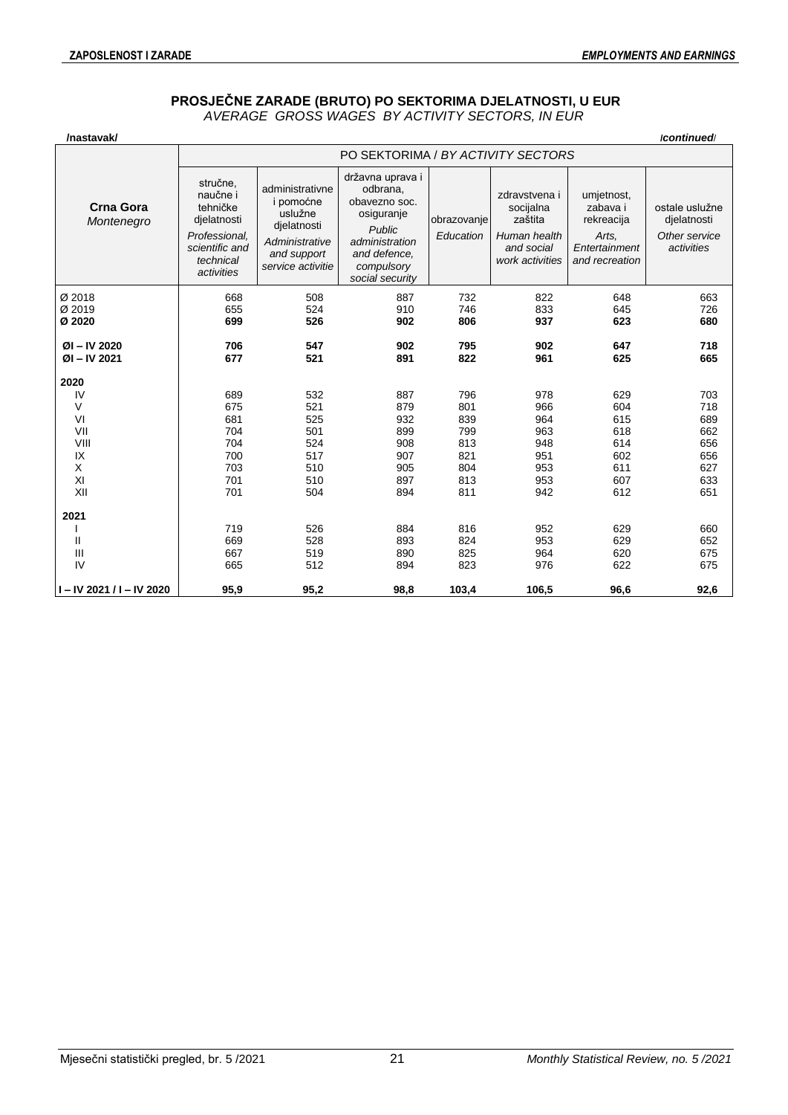## **PROSJEČNE ZARADE (BRUTO) PO SEKTORIMA DJELATNOSTI, U EUR** *AVERAGE GROSS WAGES BY ACTIVITY SECTORS, IN EUR*

| /nastavak/                       |                                                                                                               |                                                                                                              |                                                                                                                                          |                          |                                                                                        |                                                                                  | /continued                                                   |  |  |  |
|----------------------------------|---------------------------------------------------------------------------------------------------------------|--------------------------------------------------------------------------------------------------------------|------------------------------------------------------------------------------------------------------------------------------------------|--------------------------|----------------------------------------------------------------------------------------|----------------------------------------------------------------------------------|--------------------------------------------------------------|--|--|--|
|                                  |                                                                                                               | PO SEKTORIMA / BY ACTIVITY SECTORS                                                                           |                                                                                                                                          |                          |                                                                                        |                                                                                  |                                                              |  |  |  |
| <b>Crna Gora</b><br>Montenegro   | stručne,<br>naučne i<br>tehničke<br>djelatnosti<br>Professional,<br>scientific and<br>technical<br>activities | administrativne<br>i pomoćne<br>uslužne<br>dielatnosti<br>Administrative<br>and support<br>service activitie | državna uprava i<br>odbrana,<br>obavezno soc.<br>osiguranje<br>Public<br>administration<br>and defence.<br>compulsory<br>social security | obrazovanje<br>Education | zdravstvena i<br>socijalna<br>zaštita<br>Human health<br>and social<br>work activities | umjetnost,<br>zabava i<br>rekreacija<br>Arts,<br>Entertainment<br>and recreation | ostale uslužne<br>djelatnosti<br>Other service<br>activities |  |  |  |
| Ø 2018                           | 668                                                                                                           | 508                                                                                                          | 887                                                                                                                                      | 732                      | 822                                                                                    | 648                                                                              | 663                                                          |  |  |  |
| Ø 2019                           | 655                                                                                                           | 524                                                                                                          | 910                                                                                                                                      | 746                      | 833                                                                                    | 645                                                                              | 726                                                          |  |  |  |
| Ø 2020                           | 699                                                                                                           | 526                                                                                                          | 902                                                                                                                                      | 806                      | 937                                                                                    | 623                                                                              | 680                                                          |  |  |  |
| $ØI - IV 2020$<br>$ØI - IV 2021$ | 706<br>677                                                                                                    | 547<br>521                                                                                                   | 902<br>891                                                                                                                               | 795<br>822               | 902<br>961                                                                             | 647<br>625                                                                       | 718<br>665                                                   |  |  |  |
| 2020                             |                                                                                                               |                                                                                                              |                                                                                                                                          |                          |                                                                                        |                                                                                  |                                                              |  |  |  |
| IV                               | 689                                                                                                           | 532                                                                                                          | 887                                                                                                                                      | 796                      | 978                                                                                    | 629                                                                              | 703                                                          |  |  |  |
| V                                | 675                                                                                                           | 521                                                                                                          | 879                                                                                                                                      | 801                      | 966                                                                                    | 604                                                                              | 718                                                          |  |  |  |
| VI                               | 681                                                                                                           | 525                                                                                                          | 932                                                                                                                                      | 839                      | 964                                                                                    | 615                                                                              | 689                                                          |  |  |  |
| VII                              | 704                                                                                                           | 501                                                                                                          | 899                                                                                                                                      | 799                      | 963                                                                                    | 618                                                                              | 662                                                          |  |  |  |
| VIII                             | 704                                                                                                           | 524                                                                                                          | 908                                                                                                                                      | 813                      | 948                                                                                    | 614                                                                              | 656                                                          |  |  |  |
| IX                               | 700                                                                                                           | 517                                                                                                          | 907                                                                                                                                      | 821                      | 951                                                                                    | 602                                                                              | 656                                                          |  |  |  |
| X                                | 703                                                                                                           | 510                                                                                                          | 905                                                                                                                                      | 804                      | 953                                                                                    | 611                                                                              | 627                                                          |  |  |  |
| XI                               | 701                                                                                                           | 510                                                                                                          | 897                                                                                                                                      | 813                      | 953                                                                                    | 607                                                                              | 633                                                          |  |  |  |
| XII                              | 701                                                                                                           | 504                                                                                                          | 894                                                                                                                                      | 811                      | 942                                                                                    | 612                                                                              | 651                                                          |  |  |  |
| 2021                             |                                                                                                               |                                                                                                              |                                                                                                                                          |                          |                                                                                        |                                                                                  |                                                              |  |  |  |
|                                  | 719                                                                                                           | 526                                                                                                          | 884                                                                                                                                      | 816                      | 952                                                                                    | 629                                                                              | 660                                                          |  |  |  |
| Ш                                | 669                                                                                                           | 528                                                                                                          | 893                                                                                                                                      | 824                      | 953                                                                                    | 629                                                                              | 652                                                          |  |  |  |
| Ш                                | 667                                                                                                           | 519                                                                                                          | 890                                                                                                                                      | 825                      | 964                                                                                    | 620                                                                              | 675                                                          |  |  |  |
| IV                               | 665                                                                                                           | 512                                                                                                          | 894                                                                                                                                      | 823                      | 976                                                                                    | 622                                                                              | 675                                                          |  |  |  |
| I – IV 2021 / I – IV 2020        | 95,9                                                                                                          | 95,2                                                                                                         | 98,8                                                                                                                                     | 103,4                    | 106,5                                                                                  | 96,6                                                                             | 92,6                                                         |  |  |  |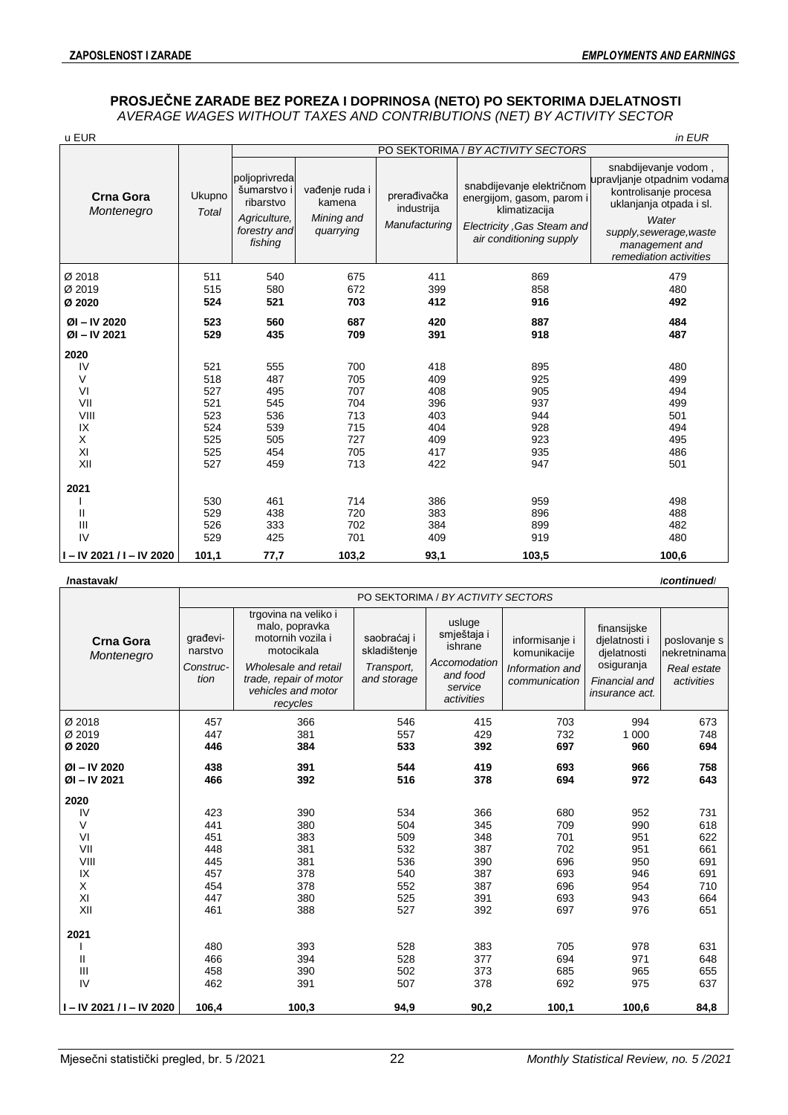## **PROSJEČNE ZARADE BEZ POREZA I DOPRINOSA (NETO) PO SEKTORIMA DJELATNOSTI**  *AVERAGE WAGES WITHOUT TAXES AND CONTRIBUTIONS (NET) BY ACTIVITY SECTOR*

| u EUR                            |                 |                                                                                      |                                                     |                                             |                                                                                                                                  | in EUR                                                                                                                                                                                  |
|----------------------------------|-----------------|--------------------------------------------------------------------------------------|-----------------------------------------------------|---------------------------------------------|----------------------------------------------------------------------------------------------------------------------------------|-----------------------------------------------------------------------------------------------------------------------------------------------------------------------------------------|
|                                  |                 |                                                                                      |                                                     |                                             | PO SEKTORIMA / BY ACTIVITY SECTORS                                                                                               |                                                                                                                                                                                         |
| <b>Crna Gora</b><br>Montenegro   | Ukupno<br>Total | poljoprivreda<br>šumarstvo i<br>ribarstvo<br>Agriculture,<br>forestry and<br>fishing | vađenje ruda i<br>kamena<br>Mining and<br>quarrying | prerađivačka<br>industrija<br>Manufacturing | snabdijevanje električnom<br>energijom, gasom, parom i<br>klimatizacija<br>Electricity, Gas Steam and<br>air conditioning supply | snabdijevanje vodom,<br>upravljanje otpadnim vodama<br>kontrolisanje procesa<br>uklanjanja otpada i sl.<br>Water<br>supply, sewerage, waste<br>management and<br>remediation activities |
| Ø 2018                           | 511             | 540                                                                                  | 675                                                 | 411                                         | 869                                                                                                                              | 479                                                                                                                                                                                     |
| Ø 2019                           | 515             | 580                                                                                  | 672                                                 | 399                                         | 858                                                                                                                              | 480                                                                                                                                                                                     |
| Ø 2020                           | 524             | 521                                                                                  | 703                                                 | 412                                         | 916                                                                                                                              | 492                                                                                                                                                                                     |
| $ØI - IV 2020$<br>$ØI - IV 2021$ | 523<br>529      | 560<br>435                                                                           | 687<br>709                                          | 420<br>391                                  | 887<br>918                                                                                                                       | 484<br>487                                                                                                                                                                              |
| 2020                             |                 |                                                                                      |                                                     |                                             |                                                                                                                                  |                                                                                                                                                                                         |
| IV                               | 521             | 555                                                                                  | 700                                                 | 418                                         | 895                                                                                                                              | 480                                                                                                                                                                                     |
| V                                | 518             | 487                                                                                  | 705                                                 | 409                                         | 925                                                                                                                              | 499                                                                                                                                                                                     |
| VI                               | 527             | 495                                                                                  | 707                                                 | 408                                         | 905                                                                                                                              | 494                                                                                                                                                                                     |
| VII                              | 521             | 545                                                                                  | 704                                                 | 396                                         | 937                                                                                                                              | 499                                                                                                                                                                                     |
| VIII                             | 523             | 536                                                                                  | 713                                                 | 403                                         | 944                                                                                                                              | 501                                                                                                                                                                                     |
| IX                               | 524             | 539                                                                                  | 715                                                 | 404                                         | 928                                                                                                                              | 494                                                                                                                                                                                     |
| Χ                                | 525             | 505                                                                                  | 727                                                 | 409                                         | 923                                                                                                                              | 495                                                                                                                                                                                     |
| XI                               | 525             | 454                                                                                  | 705                                                 | 417                                         | 935                                                                                                                              | 486                                                                                                                                                                                     |
| XII                              | 527             | 459                                                                                  | 713                                                 | 422                                         | 947                                                                                                                              | 501                                                                                                                                                                                     |
| 2021                             |                 |                                                                                      |                                                     |                                             |                                                                                                                                  |                                                                                                                                                                                         |
|                                  | 530             | 461                                                                                  | 714                                                 | 386                                         | 959                                                                                                                              | 498                                                                                                                                                                                     |
| Ш                                | 529             | 438                                                                                  | 720                                                 | 383                                         | 896                                                                                                                              | 488                                                                                                                                                                                     |
| III                              | 526             | 333                                                                                  | 702                                                 | 384                                         | 899                                                                                                                              | 482                                                                                                                                                                                     |
| IV                               | 529             | 425                                                                                  | 701                                                 | 409                                         | 919                                                                                                                              | 480                                                                                                                                                                                     |
| I-IV 2021 / I-IV 2020            | 101,1           | 77,7                                                                                 | 103,2                                               | 93,1                                        | 103,5                                                                                                                            | 100,6                                                                                                                                                                                   |

#### **/nastavak/ /***continued*/

|                                | PO SEKTORIMA / BY ACTIVITY SECTORS       |                                                                                                                                                               |                                                          |                                                                                       |                                                                    |                                                                                                     |                                                           |  |  |  |
|--------------------------------|------------------------------------------|---------------------------------------------------------------------------------------------------------------------------------------------------------------|----------------------------------------------------------|---------------------------------------------------------------------------------------|--------------------------------------------------------------------|-----------------------------------------------------------------------------------------------------|-----------------------------------------------------------|--|--|--|
| <b>Crna Gora</b><br>Montenegro | građevi-<br>narstvo<br>Construc-<br>tion | trgovina na veliko i<br>malo, popravka<br>motornih vozila i<br>motocikala<br>Wholesale and retail<br>trade, repair of motor<br>vehicles and motor<br>recycles | saobraćaj i<br>skladištenje<br>Transport,<br>and storage | usluge<br>smještaja i<br>ishrane<br>Accomodation<br>and food<br>service<br>activities | informisanje i<br>komunikacije<br>Information and<br>communication | finansijske<br>dielatnosti i<br>djelatnosti<br>osiguranja<br>Financial and<br><i>insurance act.</i> | poslovanje s<br>nekretninama<br>Real estate<br>activities |  |  |  |
| Ø 2018                         | 457                                      | 366                                                                                                                                                           | 546                                                      | 415                                                                                   | 703                                                                | 994                                                                                                 | 673                                                       |  |  |  |
| Ø 2019                         | 447                                      | 381                                                                                                                                                           | 557                                                      | 429                                                                                   | 732                                                                | 1 0 0 0                                                                                             | 748                                                       |  |  |  |
| Ø 2020                         | 446                                      | 384                                                                                                                                                           | 533                                                      | 392                                                                                   | 697                                                                | 960                                                                                                 | 694                                                       |  |  |  |
| $ØI - IV 2020$                 | 438                                      | 391                                                                                                                                                           | 544                                                      | 419                                                                                   | 693                                                                | 966                                                                                                 | 758                                                       |  |  |  |
| $ØI - IV 2021$                 | 466                                      | 392                                                                                                                                                           | 516                                                      | 378                                                                                   | 694                                                                | 972                                                                                                 | 643                                                       |  |  |  |
| 2020                           |                                          |                                                                                                                                                               |                                                          |                                                                                       |                                                                    |                                                                                                     |                                                           |  |  |  |
| IV                             | 423                                      | 390                                                                                                                                                           | 534                                                      | 366                                                                                   | 680                                                                | 952                                                                                                 | 731                                                       |  |  |  |
| V                              | 441                                      | 380                                                                                                                                                           | 504                                                      | 345                                                                                   | 709                                                                | 990                                                                                                 | 618                                                       |  |  |  |
| VI                             | 451                                      | 383                                                                                                                                                           | 509                                                      | 348                                                                                   | 701                                                                | 951                                                                                                 | 622                                                       |  |  |  |
| VII                            | 448                                      | 381                                                                                                                                                           | 532                                                      | 387                                                                                   | 702                                                                | 951                                                                                                 | 661                                                       |  |  |  |
| VIII                           | 445                                      | 381                                                                                                                                                           | 536                                                      | 390                                                                                   | 696                                                                | 950                                                                                                 | 691                                                       |  |  |  |
| IX                             | 457                                      | 378                                                                                                                                                           | 540                                                      | 387                                                                                   | 693                                                                | 946                                                                                                 | 691                                                       |  |  |  |
| X                              | 454                                      | 378                                                                                                                                                           | 552                                                      | 387                                                                                   | 696                                                                | 954                                                                                                 | 710                                                       |  |  |  |
| XI                             | 447                                      | 380                                                                                                                                                           | 525                                                      | 391                                                                                   | 693                                                                | 943                                                                                                 | 664                                                       |  |  |  |
| XII                            | 461                                      | 388                                                                                                                                                           | 527                                                      | 392                                                                                   | 697                                                                | 976                                                                                                 | 651                                                       |  |  |  |
| 2021                           |                                          |                                                                                                                                                               |                                                          |                                                                                       |                                                                    |                                                                                                     |                                                           |  |  |  |
|                                | 480                                      | 393                                                                                                                                                           | 528                                                      | 383                                                                                   | 705                                                                | 978                                                                                                 | 631                                                       |  |  |  |
| Ш                              | 466                                      | 394                                                                                                                                                           | 528                                                      | 377                                                                                   | 694                                                                | 971                                                                                                 | 648                                                       |  |  |  |
| $\mathbf{III}$                 | 458                                      | 390                                                                                                                                                           | 502                                                      | 373                                                                                   | 685                                                                | 965                                                                                                 | 655                                                       |  |  |  |
| IV                             | 462                                      | 391                                                                                                                                                           | 507                                                      | 378                                                                                   | 692                                                                | 975                                                                                                 | 637                                                       |  |  |  |
| I-IV 2021 / I-IV 2020          | 106,4                                    | 100,3                                                                                                                                                         | 94,9                                                     | 90,2                                                                                  | 100,1                                                              | 100,6                                                                                               | 84,8                                                      |  |  |  |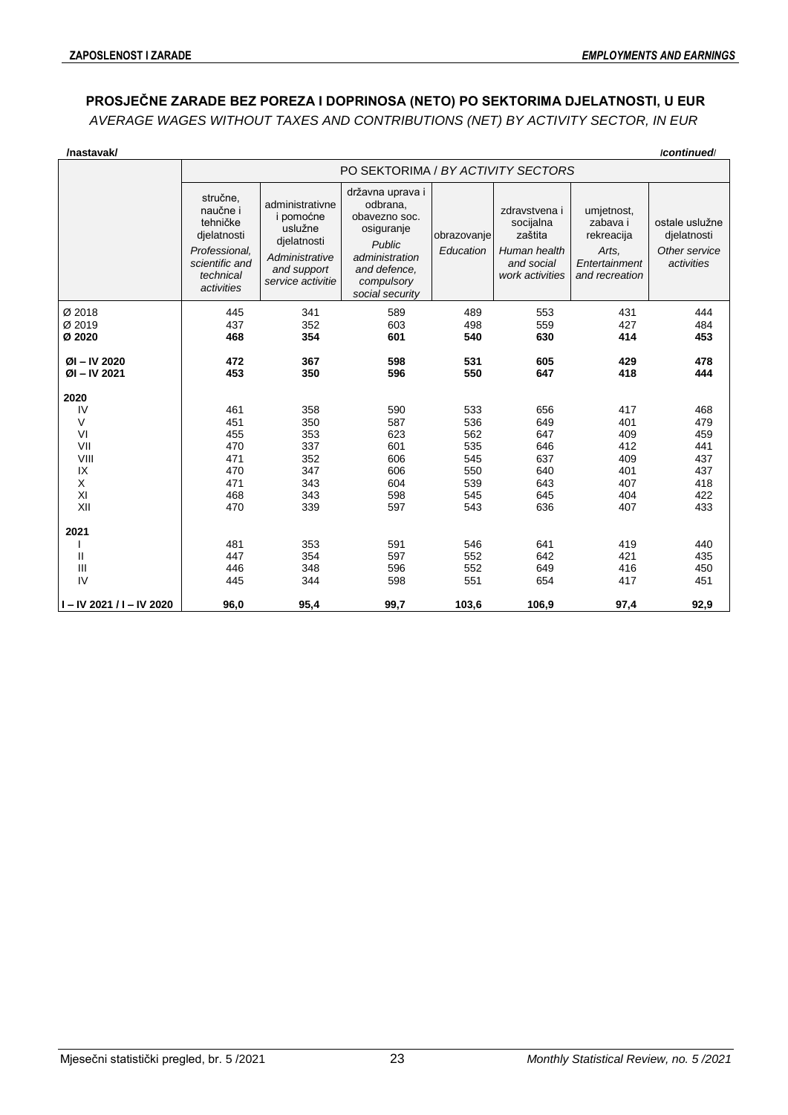# **PROSJEČNE ZARADE BEZ POREZA I DOPRINOSA (NETO) PO SEKTORIMA DJELATNOSTI, U EUR**

*AVERAGE WAGES WITHOUT TAXES AND CONTRIBUTIONS (NET) BY ACTIVITY SECTOR, IN EUR*

| /nastavak/                       |                                                                                                               |                                                                                                              |                                                                                                                                          |                          |                                                                                        |                                                                                  | /continued                                                   |
|----------------------------------|---------------------------------------------------------------------------------------------------------------|--------------------------------------------------------------------------------------------------------------|------------------------------------------------------------------------------------------------------------------------------------------|--------------------------|----------------------------------------------------------------------------------------|----------------------------------------------------------------------------------|--------------------------------------------------------------|
|                                  |                                                                                                               |                                                                                                              | PO SEKTORIMA / BY ACTIVITY SECTORS                                                                                                       |                          |                                                                                        |                                                                                  |                                                              |
|                                  | stručne,<br>naučne i<br>tehničke<br>djelatnosti<br>Professional,<br>scientific and<br>technical<br>activities | administrativne<br>i pomoćne<br>uslužne<br>djelatnosti<br>Administrative<br>and support<br>service activitie | državna uprava i<br>odbrana,<br>obavezno soc.<br>osiguranje<br>Public<br>administration<br>and defence.<br>compulsory<br>social security | obrazovanje<br>Education | zdravstvena i<br>socijalna<br>zaštita<br>Human health<br>and social<br>work activities | umjetnost,<br>zabava i<br>rekreacija<br>Arts.<br>Entertainment<br>and recreation | ostale uslužne<br>djelatnosti<br>Other service<br>activities |
| Ø 2018                           | 445                                                                                                           | 341                                                                                                          | 589                                                                                                                                      | 489                      | 553                                                                                    | 431                                                                              | 444                                                          |
| Ø 2019<br>Ø 2020                 | 437<br>468                                                                                                    | 352<br>354                                                                                                   | 603<br>601                                                                                                                               | 498<br>540               | 559<br>630                                                                             | 427<br>414                                                                       | 484<br>453                                                   |
|                                  |                                                                                                               |                                                                                                              |                                                                                                                                          |                          |                                                                                        |                                                                                  |                                                              |
| $ØI - IV 2020$<br>$ØI - IV 2021$ | 472<br>453                                                                                                    | 367<br>350                                                                                                   | 598<br>596                                                                                                                               | 531<br>550               | 605<br>647                                                                             | 429<br>418                                                                       | 478<br>444                                                   |
|                                  |                                                                                                               |                                                                                                              |                                                                                                                                          |                          |                                                                                        |                                                                                  |                                                              |
| 2020<br>IV                       | 461                                                                                                           | 358                                                                                                          | 590                                                                                                                                      | 533                      | 656                                                                                    | 417                                                                              | 468                                                          |
| V                                | 451                                                                                                           | 350                                                                                                          | 587                                                                                                                                      | 536                      | 649                                                                                    | 401                                                                              | 479                                                          |
| VI                               | 455                                                                                                           | 353                                                                                                          | 623                                                                                                                                      | 562                      | 647                                                                                    | 409                                                                              | 459                                                          |
| VII                              | 470                                                                                                           | 337                                                                                                          | 601                                                                                                                                      | 535                      | 646                                                                                    | 412                                                                              | 441                                                          |
| VIII                             | 471                                                                                                           | 352                                                                                                          | 606                                                                                                                                      | 545                      | 637                                                                                    | 409                                                                              | 437                                                          |
| IX                               | 470                                                                                                           | 347                                                                                                          | 606                                                                                                                                      | 550                      | 640                                                                                    | 401                                                                              | 437                                                          |
| X                                | 471                                                                                                           | 343                                                                                                          | 604                                                                                                                                      | 539                      | 643                                                                                    | 407                                                                              | 418                                                          |
| XI                               | 468                                                                                                           | 343                                                                                                          | 598                                                                                                                                      | 545                      | 645                                                                                    | 404                                                                              | 422                                                          |
| XII                              | 470                                                                                                           | 339                                                                                                          | 597                                                                                                                                      | 543                      | 636                                                                                    | 407                                                                              | 433                                                          |
| 2021                             |                                                                                                               |                                                                                                              |                                                                                                                                          |                          |                                                                                        |                                                                                  |                                                              |
|                                  | 481                                                                                                           | 353                                                                                                          | 591                                                                                                                                      | 546                      | 641                                                                                    | 419                                                                              | 440                                                          |
| Ш                                | 447                                                                                                           | 354                                                                                                          | 597                                                                                                                                      | 552                      | 642                                                                                    | 421                                                                              | 435                                                          |
| III                              | 446                                                                                                           | 348                                                                                                          | 596                                                                                                                                      | 552                      | 649                                                                                    | 416                                                                              | 450                                                          |
| IV                               | 445                                                                                                           | 344                                                                                                          | 598                                                                                                                                      | 551                      | 654                                                                                    | 417                                                                              | 451                                                          |
| $I - IV$ 2021 / I - IV 2020      | 96,0                                                                                                          | 95,4                                                                                                         | 99,7                                                                                                                                     | 103,6                    | 106,9                                                                                  | 97,4                                                                             | 92,9                                                         |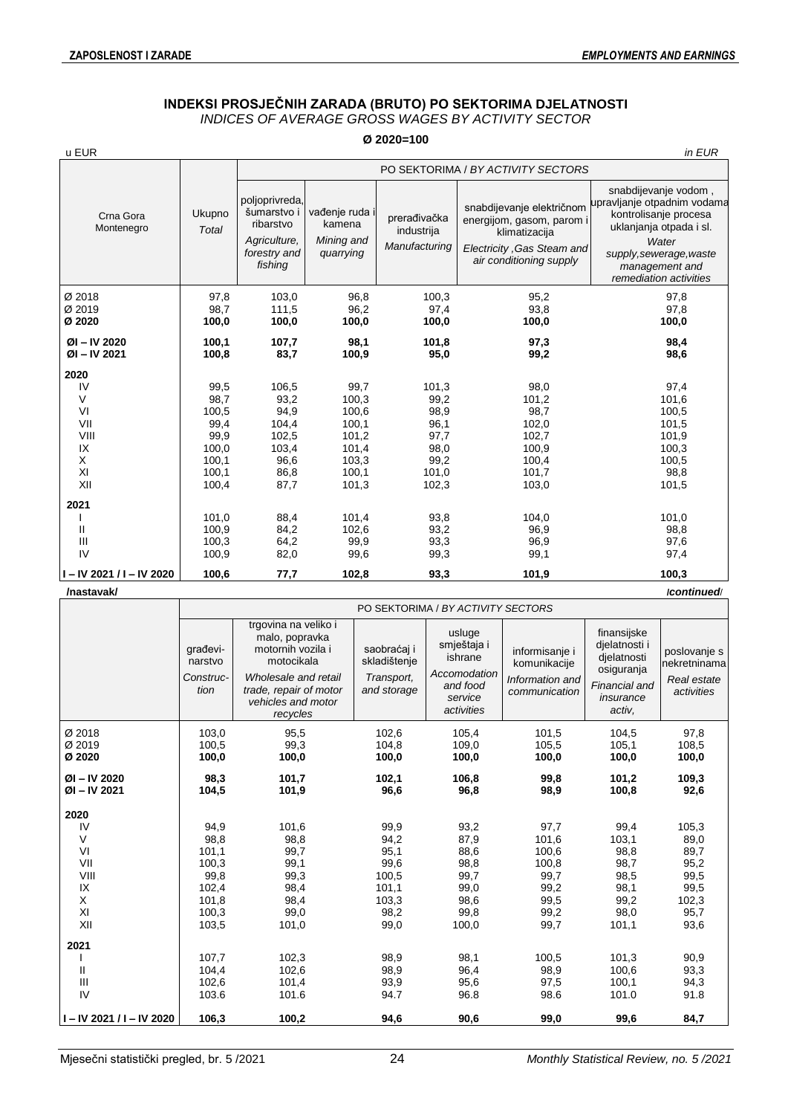# **INDEKSI PROSJEČNIH ZARADA (BRUTO) PO SEKTORIMA DJELATNOSTI**

*INDICES OF AVERAGE GROSS WAGES BY ACTIVITY SECTOR*

| u EUR<br>Ukupno<br>Crna Gora<br>Montenegro<br>Total                            |                                                                                    | Ø 2020=100                                                                                       |                                                                                                |                                                                                                 |                                                                                                                                  |                                                                                                                                                                                         |  |  |  |  |  |  |  |  |
|--------------------------------------------------------------------------------|------------------------------------------------------------------------------------|--------------------------------------------------------------------------------------------------|------------------------------------------------------------------------------------------------|-------------------------------------------------------------------------------------------------|----------------------------------------------------------------------------------------------------------------------------------|-----------------------------------------------------------------------------------------------------------------------------------------------------------------------------------------|--|--|--|--|--|--|--|--|
|                                                                                |                                                                                    |                                                                                                  |                                                                                                |                                                                                                 |                                                                                                                                  | in EUR                                                                                                                                                                                  |  |  |  |  |  |  |  |  |
|                                                                                |                                                                                    |                                                                                                  |                                                                                                |                                                                                                 | PO SEKTORIMA / BY ACTIVITY SECTORS                                                                                               |                                                                                                                                                                                         |  |  |  |  |  |  |  |  |
|                                                                                |                                                                                    | poljoprivreda,<br>šumarstvo i<br>ribarstvo<br>Agriculture,<br>forestry and<br>fishing            | vađenje ruda i<br>kamena<br>Mining and<br>quarrying                                            | prerađivačka<br>industrija<br>Manufacturing                                                     | snabdijevanje električnom<br>energijom, gasom, parom i<br>klimatizacija<br>Electricity, Gas Steam and<br>air conditioning supply | snabdijevanje vodom,<br>upravljanje otpadnim vodama<br>kontrolisanje procesa<br>uklanjanja otpada i sl.<br>Water<br>supply, sewerage, waste<br>management and<br>remediation activities |  |  |  |  |  |  |  |  |
| Ø 2018<br>Ø 2019<br>Ø 2020                                                     | 97,8<br>98,7<br>100,0                                                              | 103,0<br>111,5<br>100,0                                                                          | 96,8<br>96,2<br>100,0                                                                          | 100,3<br>97,4<br>100,0                                                                          | 95,2<br>93,8<br>100,0                                                                                                            | 97,8<br>97,8<br>100,0                                                                                                                                                                   |  |  |  |  |  |  |  |  |
| $ØI - IV 2020$<br>$ØI - IV 2021$                                               | 100,1<br>100,8                                                                     | 107,7<br>83,7                                                                                    | 98,1<br>100,9                                                                                  | 101,8<br>95,0                                                                                   | 97,3<br>99,2                                                                                                                     | 98,4<br>98,6                                                                                                                                                                            |  |  |  |  |  |  |  |  |
| 2020<br>IV<br>V<br>VI<br>VII<br>VIII<br>IX<br>X<br>XI<br>XII<br>2021<br>Ш<br>Ш | 99,5<br>98,7<br>100,5<br>99,4<br>99,9<br>100,0<br>100,1<br>100,1<br>100,4<br>101,0 | 106,5<br>93,2<br>94,9<br>104,4<br>102,5<br>103,4<br>96,6<br>86,8<br>87,7<br>88,4<br>84,2<br>64,2 | 99,7<br>100,3<br>100,6<br>100,1<br>101,2<br>101,4<br>103,3<br>100,1<br>101,3<br>101,4<br>102,6 | 101,3<br>99,2<br>98,9<br>96,1<br>97,7<br>98,0<br>99,2<br>101,0<br>102,3<br>93,8<br>93,2<br>93,3 | 98,0<br>101,2<br>98,7<br>102,0<br>102,7<br>100,9<br>100,4<br>101,7<br>103,0<br>104,0<br>96,9<br>96,9                             | 97,4<br>101,6<br>100,5<br>101,5<br>101,9<br>100,3<br>100,5<br>98,8<br>101,5<br>101,0<br>98,8<br>97,6                                                                                    |  |  |  |  |  |  |  |  |
| IV<br>100,9<br>$I - IV 2021 / I - IV 2020$<br>100,6                            | 100,9<br>100,3                                                                     |                                                                                                  | 99,9                                                                                           |                                                                                                 |                                                                                                                                  |                                                                                                                                                                                         |  |  |  |  |  |  |  |  |

**/nastavak/ /***continued*/

|                                  | PO SEKTORIMA / BY ACTIVITY SECTORS                                                                                                                                                                        |                       |                                                                                                                                                   |                         |                                                                    |                                                                                                   |                                                           |  |  |  |  |  |
|----------------------------------|-----------------------------------------------------------------------------------------------------------------------------------------------------------------------------------------------------------|-----------------------|---------------------------------------------------------------------------------------------------------------------------------------------------|-------------------------|--------------------------------------------------------------------|---------------------------------------------------------------------------------------------------|-----------------------------------------------------------|--|--|--|--|--|
|                                  | trgovina na veliko i<br>malo, popravka<br>motornih vozila i<br>građevi-<br>motocikala<br>narstvo<br>Wholesale and retail<br>Construc-<br>tion<br>trade, repair of motor<br>vehicles and motor<br>recycles |                       | usluge<br>smještaja i<br>saobraćaj i<br>ishrane<br>skladištenje<br>Accomodation<br>Transport,<br>and food<br>and storage<br>service<br>activities |                         | informisanje i<br>komunikacije<br>Information and<br>communication | finansijske<br>djelatnosti i<br>djelatnosti<br>osiguranja<br>Financial and<br>insurance<br>activ, | poslovanje s<br>nekretninama<br>Real estate<br>activities |  |  |  |  |  |
| Ø 2018<br>Ø 2019<br>Ø 2020       | 103,0<br>100,5<br>100,0                                                                                                                                                                                   | 95,5<br>99,3<br>100,0 | 102,6<br>104,8<br>100,0                                                                                                                           | 105,4<br>109,0<br>100,0 | 101,5<br>105,5<br>100,0                                            | 104,5<br>105,1<br>100,0                                                                           | 97,8<br>108,5<br>100,0                                    |  |  |  |  |  |
| $ØI - IV 2020$<br>$ØI - IV 2021$ | 98,3<br>104,5                                                                                                                                                                                             | 101,7<br>101,9        | 102,1<br>96,6                                                                                                                                     | 106,8<br>96,8           | 99,8<br>98,9                                                       | 101,2<br>100,8                                                                                    | 109,3<br>92,6                                             |  |  |  |  |  |
| 2020                             |                                                                                                                                                                                                           |                       |                                                                                                                                                   |                         |                                                                    |                                                                                                   |                                                           |  |  |  |  |  |
| IV                               | 94,9                                                                                                                                                                                                      | 101,6                 | 99,9                                                                                                                                              | 93,2                    | 97,7                                                               | 99,4                                                                                              | 105,3                                                     |  |  |  |  |  |
| V                                | 98,8                                                                                                                                                                                                      | 98,8                  | 94,2                                                                                                                                              | 87,9                    | 101,6                                                              | 103,1                                                                                             | 89,0                                                      |  |  |  |  |  |
| VI                               | 101,1                                                                                                                                                                                                     | 99,7                  | 95,1                                                                                                                                              | 88,6                    | 100,6                                                              | 98,8                                                                                              | 89,7                                                      |  |  |  |  |  |
| VII                              | 100,3                                                                                                                                                                                                     | 99,1                  | 99,6                                                                                                                                              | 98,8                    | 100,8                                                              | 98,7                                                                                              | 95,2                                                      |  |  |  |  |  |
| VIII                             | 99,8                                                                                                                                                                                                      | 99,3                  | 100,5                                                                                                                                             | 99,7                    | 99,7                                                               | 98,5                                                                                              | 99,5                                                      |  |  |  |  |  |
| IX<br>X                          | 102,4<br>101,8                                                                                                                                                                                            | 98,4<br>98,4          | 101,1<br>103,3                                                                                                                                    | 99,0<br>98,6            | 99,2<br>99,5                                                       | 98,1<br>99,2                                                                                      | 99,5<br>102,3                                             |  |  |  |  |  |
| XI                               | 100,3                                                                                                                                                                                                     | 99,0                  | 98,2                                                                                                                                              | 99,8                    | 99,2                                                               | 98,0                                                                                              | 95,7                                                      |  |  |  |  |  |
| XII                              | 103,5                                                                                                                                                                                                     | 101,0                 | 99,0                                                                                                                                              | 100,0                   | 99,7                                                               | 101,1                                                                                             | 93,6                                                      |  |  |  |  |  |
| 2021                             |                                                                                                                                                                                                           |                       |                                                                                                                                                   |                         |                                                                    |                                                                                                   |                                                           |  |  |  |  |  |
|                                  | 107,7                                                                                                                                                                                                     | 102,3                 | 98,9                                                                                                                                              | 98,1                    | 100,5                                                              | 101,3                                                                                             | 90,9                                                      |  |  |  |  |  |
| $\mathbf{H}$                     | 104,4                                                                                                                                                                                                     | 102,6                 | 98,9                                                                                                                                              | 96,4                    | 98,9                                                               | 100,6                                                                                             | 93,3                                                      |  |  |  |  |  |
| $\mathbf{III}$                   | 102,6                                                                                                                                                                                                     | 101,4                 | 93,9                                                                                                                                              | 95,6                    | 97,5                                                               | 100,1                                                                                             | 94,3                                                      |  |  |  |  |  |
| IV                               | 103.6                                                                                                                                                                                                     | 101.6                 | 94.7                                                                                                                                              | 96.8                    | 98.6                                                               | 101.0                                                                                             | 91.8                                                      |  |  |  |  |  |
| $I - IV 2021 / I - IV 2020$      | 106,3                                                                                                                                                                                                     | 100,2                 | 94,6                                                                                                                                              | 90,6                    | 99,0                                                               | 99,6                                                                                              | 84,7                                                      |  |  |  |  |  |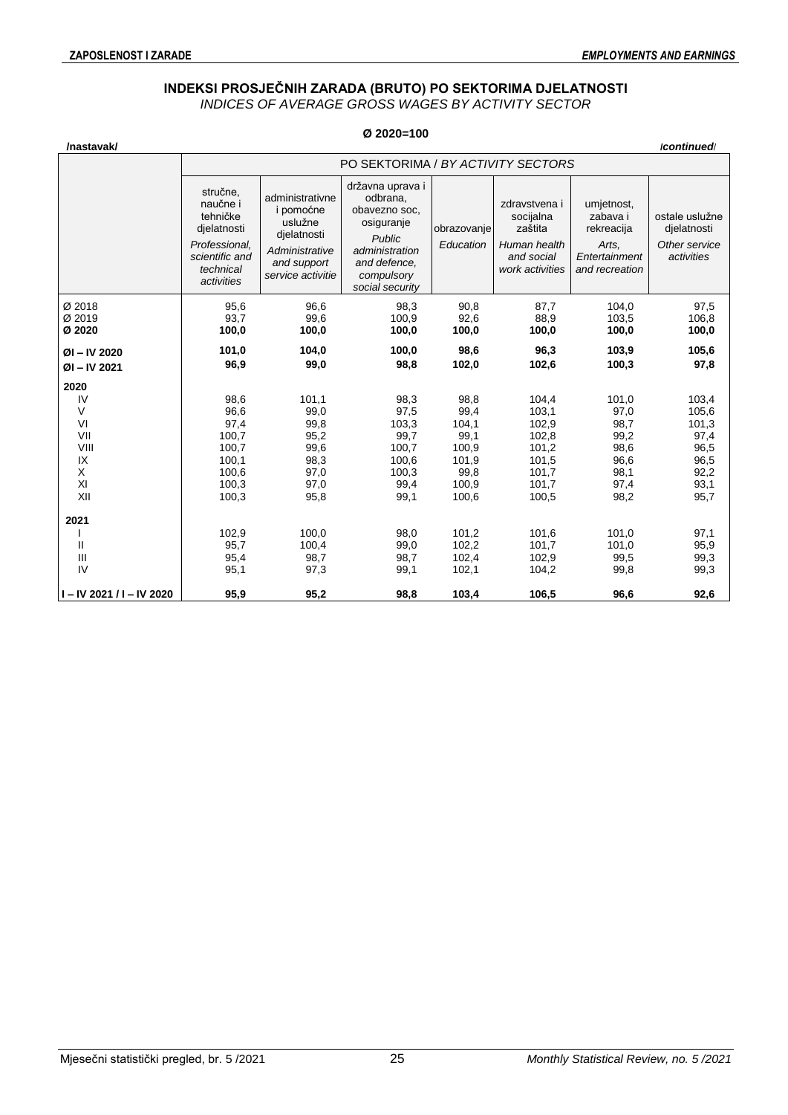## **INDEKSI PROSJEČNIH ZARADA (BRUTO) PO SEKTORIMA DJELATNOSTI**

*INDICES OF AVERAGE GROSS WAGES BY ACTIVITY SECTOR*

| /nastavak/                 |                                                                                                               |                                                                                                              |                                                                                                                      |                          |                                                                                        |                                                                                  | /continued/                                                  |  |  |  |  |  |
|----------------------------|---------------------------------------------------------------------------------------------------------------|--------------------------------------------------------------------------------------------------------------|----------------------------------------------------------------------------------------------------------------------|--------------------------|----------------------------------------------------------------------------------------|----------------------------------------------------------------------------------|--------------------------------------------------------------|--|--|--|--|--|
|                            |                                                                                                               | PO SEKTORIMA / BY ACTIVITY SECTORS<br>državna uprava i                                                       |                                                                                                                      |                          |                                                                                        |                                                                                  |                                                              |  |  |  |  |  |
|                            | stručne,<br>naučne i<br>tehničke<br>djelatnosti<br>Professional,<br>scientific and<br>technical<br>activities | administrativne<br>i pomoćne<br>uslužne<br>djelatnosti<br>Administrative<br>and support<br>service activitie | odbrana,<br>obavezno soc,<br>osiguranje<br>Public<br>administration<br>and defence.<br>compulsory<br>social security | obrazovanje<br>Education | zdravstvena i<br>socijalna<br>zaštita<br>Human health<br>and social<br>work activities | umjetnost,<br>zabava i<br>rekreacija<br>Arts.<br>Entertainment<br>and recreation | ostale uslužne<br>dielatnosti<br>Other service<br>activities |  |  |  |  |  |
| Ø 2018<br>Ø 2019<br>Ø 2020 | 95,6<br>93,7<br>100,0                                                                                         | 96,6<br>99,6<br>100,0                                                                                        | 98,3<br>100,9<br>100,0                                                                                               | 90,8<br>92,6<br>100,0    | 87,7<br>88,9<br>100,0                                                                  | 104,0<br>103,5<br>100,0                                                          | 97,5<br>106,8<br>100,0                                       |  |  |  |  |  |
| $ØI - IV 2020$             | 101,0                                                                                                         | 104,0                                                                                                        | 100,0                                                                                                                | 98,6                     | 96,3                                                                                   | 103,9                                                                            | 105,6                                                        |  |  |  |  |  |
| ØI-IV 2021                 | 96,9                                                                                                          | 99,0                                                                                                         | 98,8                                                                                                                 | 102,0                    | 102,6                                                                                  | 100,3                                                                            | 97,8                                                         |  |  |  |  |  |
|                            |                                                                                                               |                                                                                                              |                                                                                                                      |                          |                                                                                        |                                                                                  |                                                              |  |  |  |  |  |
| 2020                       |                                                                                                               |                                                                                                              |                                                                                                                      |                          |                                                                                        |                                                                                  |                                                              |  |  |  |  |  |
| IV                         | 98,6                                                                                                          | 101,1                                                                                                        | 98,3                                                                                                                 | 98,8                     | 104,4                                                                                  | 101,0                                                                            | 103,4                                                        |  |  |  |  |  |
| V                          | 96,6                                                                                                          | 99,0                                                                                                         | 97,5                                                                                                                 | 99,4                     | 103,1                                                                                  | 97,0                                                                             | 105,6                                                        |  |  |  |  |  |
| VI                         | 97,4                                                                                                          | 99,8                                                                                                         | 103,3                                                                                                                | 104,1                    | 102,9                                                                                  | 98,7                                                                             | 101,3                                                        |  |  |  |  |  |
| VII                        | 100,7                                                                                                         | 95,2                                                                                                         | 99,7                                                                                                                 | 99,1                     | 102,8                                                                                  | 99,2                                                                             | 97,4                                                         |  |  |  |  |  |
| VIII                       | 100,7                                                                                                         | 99,6                                                                                                         | 100,7                                                                                                                | 100,9                    | 101,2                                                                                  | 98,6                                                                             | 96,5                                                         |  |  |  |  |  |
| IX                         | 100,1                                                                                                         | 98,3                                                                                                         | 100,6                                                                                                                | 101,9                    | 101,5                                                                                  | 96,6                                                                             | 96,5                                                         |  |  |  |  |  |
| X                          | 100,6                                                                                                         | 97,0                                                                                                         | 100,3                                                                                                                | 99,8                     | 101,7                                                                                  | 98,1                                                                             | 92,2                                                         |  |  |  |  |  |
| XI                         | 100,3                                                                                                         | 97,0                                                                                                         | 99,4                                                                                                                 | 100,9                    | 101,7                                                                                  | 97,4                                                                             | 93,1                                                         |  |  |  |  |  |
| XII                        | 100,3                                                                                                         | 95,8                                                                                                         | 99,1                                                                                                                 | 100,6                    | 100,5                                                                                  | 98,2                                                                             | 95,7                                                         |  |  |  |  |  |
| 2021                       |                                                                                                               |                                                                                                              |                                                                                                                      |                          |                                                                                        |                                                                                  |                                                              |  |  |  |  |  |
|                            | 102,9                                                                                                         | 100,0                                                                                                        | 98,0                                                                                                                 | 101,2                    | 101,6                                                                                  | 101,0                                                                            | 97,1                                                         |  |  |  |  |  |
| Ш                          | 95,7                                                                                                          | 100,4                                                                                                        | 99,0                                                                                                                 | 102,2                    | 101,7                                                                                  | 101,0                                                                            | 95,9                                                         |  |  |  |  |  |
| III                        | 95,4                                                                                                          | 98,7                                                                                                         | 98,7                                                                                                                 | 102,4                    | 102,9                                                                                  | 99,5                                                                             | 99,3                                                         |  |  |  |  |  |
| IV                         | 95,1                                                                                                          | 97,3                                                                                                         | 99,1                                                                                                                 | 102,1                    | 104,2                                                                                  | 99,8                                                                             | 99,3                                                         |  |  |  |  |  |
| I-IV 2021 / I-IV 2020      | 95,9                                                                                                          | 95,2                                                                                                         | 98,8                                                                                                                 | 103,4                    | 106,5                                                                                  | 96,6                                                                             | 92,6                                                         |  |  |  |  |  |

## **Ø 2020=100**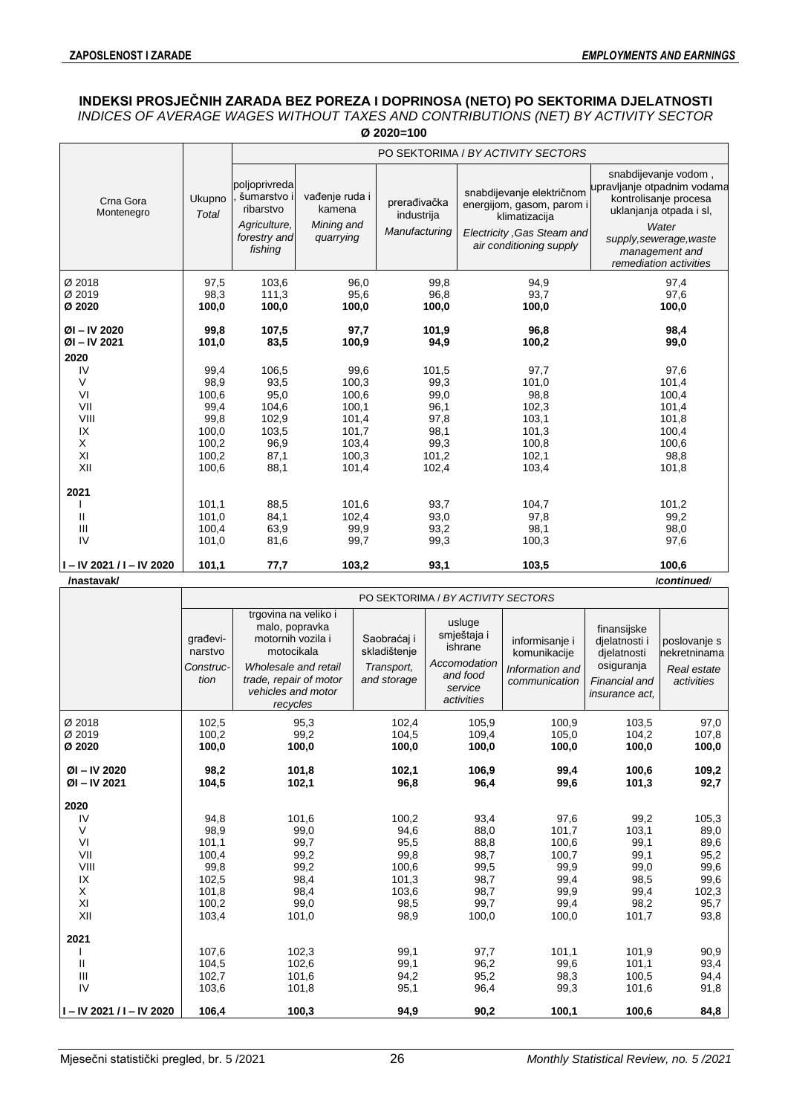## **INDEKSI PROSJEČNIH ZARADA BEZ POREZA I DOPRINOSA (NETO) PO SEKTORIMA DJELATNOSTI** *INDICES OF AVERAGE WAGES WITHOUT TAXES AND CONTRIBUTIONS (NET) BY ACTIVITY SECTOR*

| Ø 2020=100                                           |                                                                           |                                                                                      |                                                                              |                                                                         |                                                                                                                                  |                                                                                                                                                                                         |  |  |  |  |  |  |  |
|------------------------------------------------------|---------------------------------------------------------------------------|--------------------------------------------------------------------------------------|------------------------------------------------------------------------------|-------------------------------------------------------------------------|----------------------------------------------------------------------------------------------------------------------------------|-----------------------------------------------------------------------------------------------------------------------------------------------------------------------------------------|--|--|--|--|--|--|--|
|                                                      |                                                                           |                                                                                      |                                                                              |                                                                         | PO SEKTORIMA / BY ACTIVITY SECTORS                                                                                               |                                                                                                                                                                                         |  |  |  |  |  |  |  |
| Crna Gora<br>Montenegro                              | Ukupno<br><b>Total</b>                                                    | poljoprivreda<br>šumarstvo i<br>ribarstvo<br>Agriculture,<br>forestry and<br>fishing | vađenje ruda i<br>kamena<br>Mining and<br>quarrying                          | prerađivačka<br>industrija<br>Manufacturing                             | snabdijevanje električnom<br>energijom, gasom, parom i<br>klimatizacija<br>Electricity, Gas Steam and<br>air conditioning supply | snabdijevanje vodom,<br>upravljanje otpadnim vodama<br>kontrolisanje procesa<br>uklanjanja otpada i sl,<br>Water<br>supply, sewerage, waste<br>management and<br>remediation activities |  |  |  |  |  |  |  |
| Ø 2018<br>Ø 2019<br>Ø 2020                           | 97,5<br>98,3<br>100,0                                                     | 103,6<br>111,3<br>100,0                                                              | 96,0<br>95,6<br>100,0                                                        | 99,8<br>96,8<br>100,0                                                   | 94,9<br>93,7<br>100,0                                                                                                            | 97,4<br>97,6<br>100,0                                                                                                                                                                   |  |  |  |  |  |  |  |
| $ØI - IV 2020$<br>$ØI - IV 2021$<br>2020             | 99,8<br>101,0                                                             | 107,5<br>83,5                                                                        | 97,7<br>100,9                                                                | 101,9<br>94,9                                                           | 96,8<br>100,2                                                                                                                    | 98,4<br>99,0                                                                                                                                                                            |  |  |  |  |  |  |  |
| IV<br>V<br>VI<br>VII<br>VIII<br>IX<br>X<br>XI<br>XII | 99,4<br>98,9<br>100,6<br>99,4<br>99,8<br>100,0<br>100,2<br>100,2<br>100,6 | 106,5<br>93,5<br>95,0<br>104,6<br>102,9<br>103,5<br>96,9<br>87,1<br>88,1             | 99,6<br>100,3<br>100,6<br>100,1<br>101,4<br>101,7<br>103,4<br>100,3<br>101,4 | 101,5<br>99,3<br>99,0<br>96,1<br>97,8<br>98,1<br>99,3<br>101,2<br>102,4 | 97,7<br>101,0<br>98,8<br>102,3<br>103,1<br>101,3<br>100,8<br>102,1<br>103,4                                                      | 97,6<br>101,4<br>100,4<br>101,4<br>101,8<br>100,4<br>100,6<br>98,8<br>101,8                                                                                                             |  |  |  |  |  |  |  |
| 2021<br>Ш<br>Ш<br>IV                                 | 101,1<br>101,0<br>100,4<br>101,0                                          | 88,5<br>84,1<br>63,9<br>81,6                                                         | 101,6<br>102,4<br>99,9<br>99,7                                               | 93,7<br>93,0<br>93,2<br>99,3                                            | 104,7<br>97,8<br>98,1<br>100,3                                                                                                   | 101,2<br>99,2<br>98,0<br>97,6                                                                                                                                                           |  |  |  |  |  |  |  |
| I-IV 2021 / I-IV 2020<br>/nastavak/                  | 101,1                                                                     | 77,7                                                                                 | 103,2                                                                        | 93,1                                                                    | 103,5                                                                                                                            | 100,6<br>/continued/                                                                                                                                                                    |  |  |  |  |  |  |  |

PO SEKTORIMA / *BY ACTIVITY SECTORS* građevinarstvo *Construction* trgovina na veliko i malo, popravka motornih vozila i motocikala *Wholesale and retail trade, repair of motor vehicles and motor recycles* Saobraćaj i skladištenje *Transport, and storage* usluge smještaja i ishrane *Accomodation and food service activities* informisanie i komunikacije *Information and communication* finansijske djelatnosti i djelatnosti osiguranja *Financial and insurance act,* poslovanje s nekretninama *Real estate activities* Ø 2018 102,5 95,3 102,4 105,9 100,9 103,5 97,0 Ø 2019 100,2 99,2 104,5 109,4 105,0 104,2 107,8 **Ø 2020 100,0 100,0 100,0 100,0 100,0 100,0 100,0 ØI – IV 2020 98,2 101,8 102,1 106,9 99,4 100,6 109,2 ØI – IV 2021 104,5 102,1 96,8 96,4 99,6 101,3 92,7 2020** IV 94,8 101,6 100,2 93,4 97,6 99,2 105,3 V 98,9 99,0 94,6 88,0 101,7 103,1 89,0 VI 101,1 99,7 95,5 88,8 100,6 99,1 89,6 VII 100,4 99,2 99,8 98,7 100,7 99,1 95,2 VIII 99,8 99,2 100,6 99,5 99,9 99,0 99,6 IX 102,5 98,4 101,3 98,7 99,4 98,5 99,6 X 101,8 98,4 103,6 98,7 99,9 99,4 102,3 XI 100,2 99,0 98,5 99,7 99,4 98,2 95,7 XII 103,4 101,0 98,9 100,0 100,0 101,7 93,8 **2021** I 107,6 102,3 99,1 97,7 101,1 101,9 90,9 II 104,5 102,6 99,1 96,2 99,6 101,1 93,4 III 102,7 101,6 94,2 95,2 98,3 100,5 94,4 IV 103,6 101,8 95,1 96,4 99,3 101,6 91,8 **I – IV 2021 / I – IV 2020 106,4 100,3 94,9 90,2 100,1 100,6 84,8**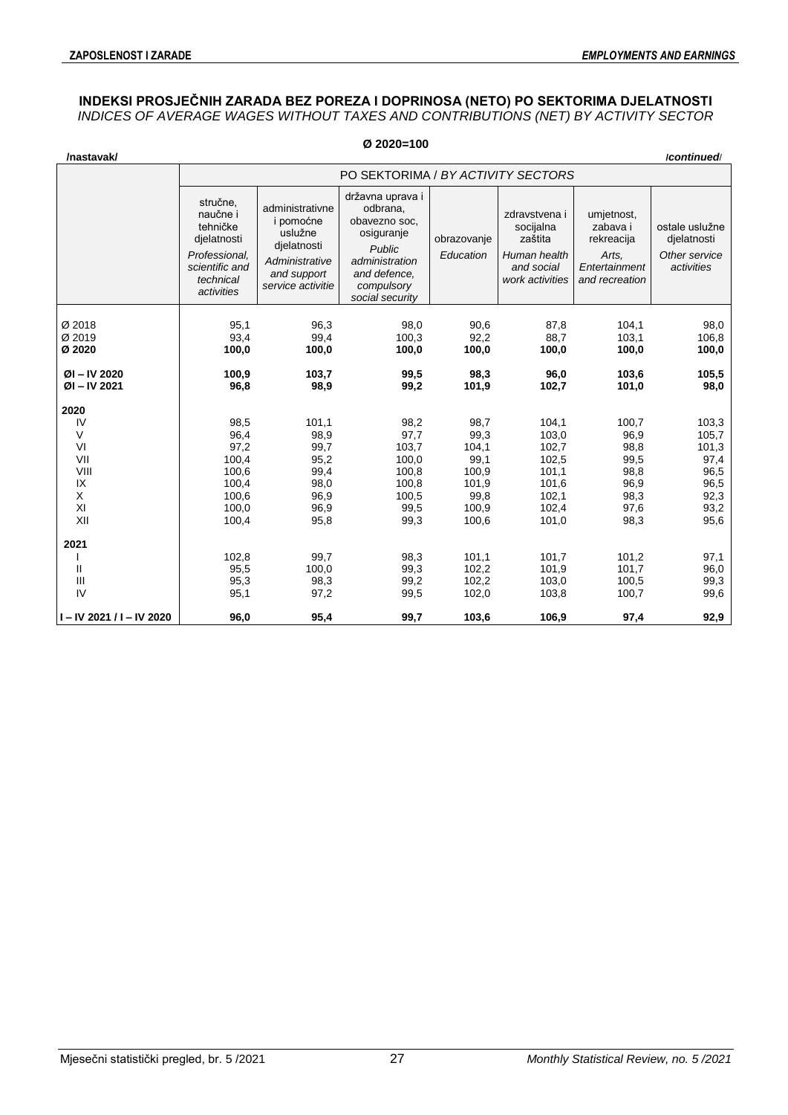## **INDEKSI PROSJEČNIH ZARADA BEZ POREZA I DOPRINOSA (NETO) PO SEKTORIMA DJELATNOSTI** *INDICES OF AVERAGE WAGES WITHOUT TAXES AND CONTRIBUTIONS (NET) BY ACTIVITY SECTOR*

|                                                                                                        |                                                                                                               |                                                                                                              | $Ø$ 2020=100                                                                                                                             |                                                                                                               |                                                                                                                   |                                                                                                           |                                                                                                         |
|--------------------------------------------------------------------------------------------------------|---------------------------------------------------------------------------------------------------------------|--------------------------------------------------------------------------------------------------------------|------------------------------------------------------------------------------------------------------------------------------------------|---------------------------------------------------------------------------------------------------------------|-------------------------------------------------------------------------------------------------------------------|-----------------------------------------------------------------------------------------------------------|---------------------------------------------------------------------------------------------------------|
| /nastavak/                                                                                             |                                                                                                               |                                                                                                              |                                                                                                                                          |                                                                                                               |                                                                                                                   |                                                                                                           | /continued/                                                                                             |
|                                                                                                        |                                                                                                               |                                                                                                              | PO SEKTORIMA / BY ACTIVITY SECTORS                                                                                                       |                                                                                                               |                                                                                                                   |                                                                                                           |                                                                                                         |
|                                                                                                        | stručne,<br>naučne i<br>tehničke<br>djelatnosti<br>Professional.<br>scientific and<br>technical<br>activities | administrativne<br>i pomoćne<br>uslužne<br>dielatnosti<br>Administrative<br>and support<br>service activitie | državna uprava i<br>odbrana,<br>obavezno soc.<br>osiguranje<br>Public<br>administration<br>and defence.<br>compulsory<br>social security | obrazovanje<br>Education                                                                                      | zdravstvena i<br>socijalna<br>zaštita<br>Human health<br>and social<br>work activities                            | umjetnost,<br>zabava i<br>rekreacija<br>Arts.<br>Entertainment<br>and recreation                          | ostale uslužne<br>djelatnosti<br>Other service<br>activities                                            |
| Ø 2018<br>Ø 2019<br>Ø 2020                                                                             | 95,1<br>93,4<br>100,0                                                                                         | 96,3<br>99,4<br>100,0                                                                                        | 98,0<br>100,3<br>100,0                                                                                                                   | 90,6<br>92,2<br>100,0                                                                                         | 87,8<br>88,7<br>100,0                                                                                             | 104,1<br>103,1<br>100,0                                                                                   | 98,0<br>106,8<br>100,0                                                                                  |
| ØI-IV 2020<br>$ØI - IV 2021$                                                                           | 100,9<br>96,8                                                                                                 | 103,7<br>98,9                                                                                                | 99,5<br>99,2                                                                                                                             | 98,3<br>101,9                                                                                                 | 96,0<br>102,7                                                                                                     | 103,6<br>101,0                                                                                            | 105,5<br>98,0                                                                                           |
| 2020<br>IV<br>$\vee$<br>VI<br>VII<br>VIII<br>IX<br>X<br>XI<br>XII<br>2021<br>Ш<br>$\mathbf{III}$<br>IV | 98,5<br>96,4<br>97,2<br>100,4<br>100,6<br>100,4<br>100,6<br>100,0<br>100,4<br>102,8<br>95,5<br>95,3<br>95,1   | 101,1<br>98,9<br>99,7<br>95,2<br>99,4<br>98,0<br>96,9<br>96,9<br>95,8<br>99,7<br>100,0<br>98,3<br>97,2       | 98,2<br>97,7<br>103,7<br>100,0<br>100,8<br>100,8<br>100,5<br>99,5<br>99,3<br>98,3<br>99,3<br>99,2<br>99,5                                | 98,7<br>99,3<br>104,1<br>99,1<br>100,9<br>101,9<br>99,8<br>100,9<br>100,6<br>101,1<br>102,2<br>102,2<br>102,0 | 104,1<br>103,0<br>102,7<br>102,5<br>101,1<br>101,6<br>102,1<br>102,4<br>101,0<br>101,7<br>101,9<br>103,0<br>103,8 | 100,7<br>96,9<br>98,8<br>99,5<br>98,8<br>96,9<br>98,3<br>97,6<br>98,3<br>101,2<br>101,7<br>100,5<br>100,7 | 103,3<br>105,7<br>101,3<br>97,4<br>96,5<br>96,5<br>92,3<br>93,2<br>95,6<br>97,1<br>96,0<br>99,3<br>99,6 |
| $I - IV$ 2021 / I - IV 2020                                                                            | 96,0                                                                                                          | 95,4                                                                                                         | 99,7                                                                                                                                     | 103,6                                                                                                         | 106,9                                                                                                             | 97,4                                                                                                      | 92,9                                                                                                    |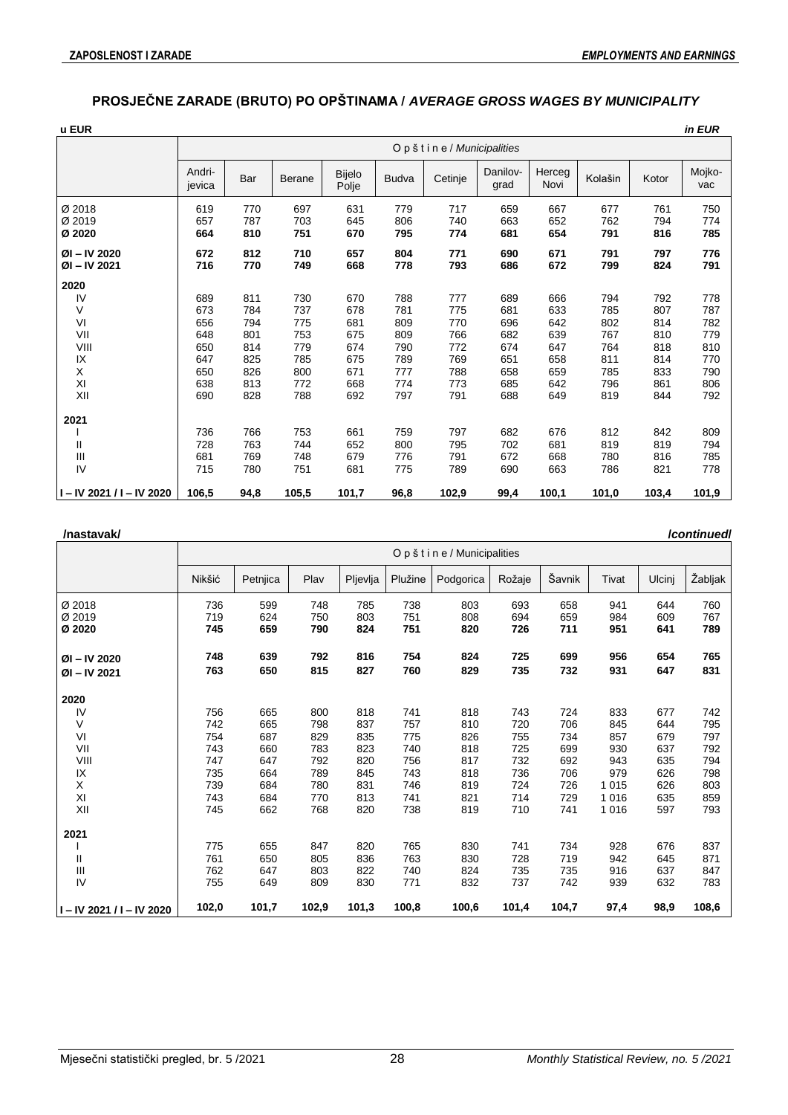# **PROSJEČNE ZARADE (BRUTO) PO OPŠTINAMA /** *AVERAGE GROSS WAGES BY MUNICIPALITY*

| u EUR                                |                                 |                                 |                                 |                                 |                                 |                                 |                                 |                                 |                                 |                                 | in EUR                          |
|--------------------------------------|---------------------------------|---------------------------------|---------------------------------|---------------------------------|---------------------------------|---------------------------------|---------------------------------|---------------------------------|---------------------------------|---------------------------------|---------------------------------|
|                                      |                                 |                                 |                                 |                                 |                                 | Opštine / Municipalities        |                                 |                                 |                                 |                                 |                                 |
|                                      | Andri-<br>jevica                | Bar                             | Berane                          | Bijelo<br>Polje                 | <b>Budva</b>                    | Cetinje                         | Danilov-<br>grad                | Herceg<br>Novi                  | Kolašin                         | Kotor                           | Mojko-<br>vac                   |
| Ø 2018<br>Ø 2019<br>Ø 2020           | 619<br>657<br>664               | 770<br>787<br>810               | 697<br>703<br>751               | 631<br>645<br>670               | 779<br>806<br>795               | 717<br>740<br>774               | 659<br>663<br>681               | 667<br>652<br>654               | 677<br>762<br>791               | 761<br>794<br>816               | 750<br>774<br>785               |
| ØI-IV 2020<br>ØI-IV 2021             | 672<br>716                      | 812<br>770                      | 710<br>749                      | 657<br>668                      | 804<br>778                      | 771<br>793                      | 690<br>686                      | 671<br>672                      | 791<br>799                      | 797<br>824                      | 776<br>791                      |
| 2020<br>IV<br>V<br>VI<br>VII<br>VIII | 689<br>673<br>656<br>648<br>650 | 811<br>784<br>794<br>801<br>814 | 730<br>737<br>775<br>753<br>779 | 670<br>678<br>681<br>675<br>674 | 788<br>781<br>809<br>809<br>790 | 777<br>775<br>770<br>766<br>772 | 689<br>681<br>696<br>682<br>674 | 666<br>633<br>642<br>639<br>647 | 794<br>785<br>802<br>767<br>764 | 792<br>807<br>814<br>810<br>818 | 778<br>787<br>782<br>779<br>810 |
| IX<br>X<br>XI<br>XII                 | 647<br>650<br>638<br>690        | 825<br>826<br>813<br>828        | 785<br>800<br>772<br>788        | 675<br>671<br>668<br>692        | 789<br>777<br>774<br>797        | 769<br>788<br>773<br>791        | 651<br>658<br>685<br>688        | 658<br>659<br>642<br>649        | 811<br>785<br>796<br>819        | 814<br>833<br>861<br>844        | 770<br>790<br>806<br>792        |
| 2021<br>Ш<br>Ш<br>IV                 | 736<br>728<br>681<br>715        | 766<br>763<br>769<br>780        | 753<br>744<br>748<br>751        | 661<br>652<br>679<br>681        | 759<br>800<br>776<br>775        | 797<br>795<br>791<br>789        | 682<br>702<br>672<br>690        | 676<br>681<br>668<br>663        | 812<br>819<br>780<br>786        | 842<br>819<br>816<br>821        | 809<br>794<br>785<br>778        |
| I-IV 2021 / I-IV 2020                | 106,5                           | 94,8                            | 105,5                           | 101,7                           | 96,8                            | 102,9                           | 99,4                            | 100,1                           | 101,0                           | 103,4                           | 101,9                           |

| /nastavak/ |
|------------|
|------------|

| /nastavak/                  |        |          |       |          |         |                        |        |        |         |        | <b>/continued</b> |
|-----------------------------|--------|----------|-------|----------|---------|------------------------|--------|--------|---------|--------|-------------------|
|                             |        |          |       |          |         | Opštine/Municipalities |        |        |         |        |                   |
|                             | Nikšić | Petnjica | Plav  | Pljevlja | Plužine | Podgorica              | Rožaje | Šavnik | Tivat   | Ulcinj | Žabljak           |
| Ø 2018                      | 736    | 599      | 748   | 785      | 738     | 803                    | 693    | 658    | 941     | 644    | 760               |
| Ø 2019                      | 719    | 624      | 750   | 803      | 751     | 808                    | 694    | 659    | 984     | 609    | 767               |
| Ø 2020                      | 745    | 659      | 790   | 824      | 751     | 820                    | 726    | 711    | 951     | 641    | 789               |
| $ØI - IV 2020$              | 748    | 639      | 792   | 816      | 754     | 824                    | 725    | 699    | 956     | 654    | 765               |
| $ØI - IV 2021$              | 763    | 650      | 815   | 827      | 760     | 829                    | 735    | 732    | 931     | 647    | 831               |
| 2020                        |        |          |       |          |         |                        |        |        |         |        |                   |
| IV                          | 756    | 665      | 800   | 818      | 741     | 818                    | 743    | 724    | 833     | 677    | 742               |
| V                           | 742    | 665      | 798   | 837      | 757     | 810                    | 720    | 706    | 845     | 644    | 795               |
| VI                          | 754    | 687      | 829   | 835      | 775     | 826                    | 755    | 734    | 857     | 679    | 797               |
| VII                         | 743    | 660      | 783   | 823      | 740     | 818                    | 725    | 699    | 930     | 637    | 792               |
| VIII                        | 747    | 647      | 792   | 820      | 756     | 817                    | 732    | 692    | 943     | 635    | 794               |
| IX                          | 735    | 664      | 789   | 845      | 743     | 818                    | 736    | 706    | 979     | 626    | 798               |
| X                           | 739    | 684      | 780   | 831      | 746     | 819                    | 724    | 726    | 1 0 1 5 | 626    | 803               |
| XI                          | 743    | 684      | 770   | 813      | 741     | 821                    | 714    | 729    | 1 0 1 6 | 635    | 859               |
| XII                         | 745    | 662      | 768   | 820      | 738     | 819                    | 710    | 741    | 1016    | 597    | 793               |
| 2021                        |        |          |       |          |         |                        |        |        |         |        |                   |
|                             | 775    | 655      | 847   | 820      | 765     | 830                    | 741    | 734    | 928     | 676    | 837               |
| П                           | 761    | 650      | 805   | 836      | 763     | 830                    | 728    | 719    | 942     | 645    | 871               |
| Ш                           | 762    | 647      | 803   | 822      | 740     | 824                    | 735    | 735    | 916     | 637    | 847               |
| IV                          | 755    | 649      | 809   | 830      | 771     | 832                    | 737    | 742    | 939     | 632    | 783               |
| $I - IV$ 2021 / I - IV 2020 | 102,0  | 101,7    | 102,9 | 101,3    | 100,8   | 100,6                  | 101,4  | 104,7  | 97,4    | 98,9   | 108,6             |